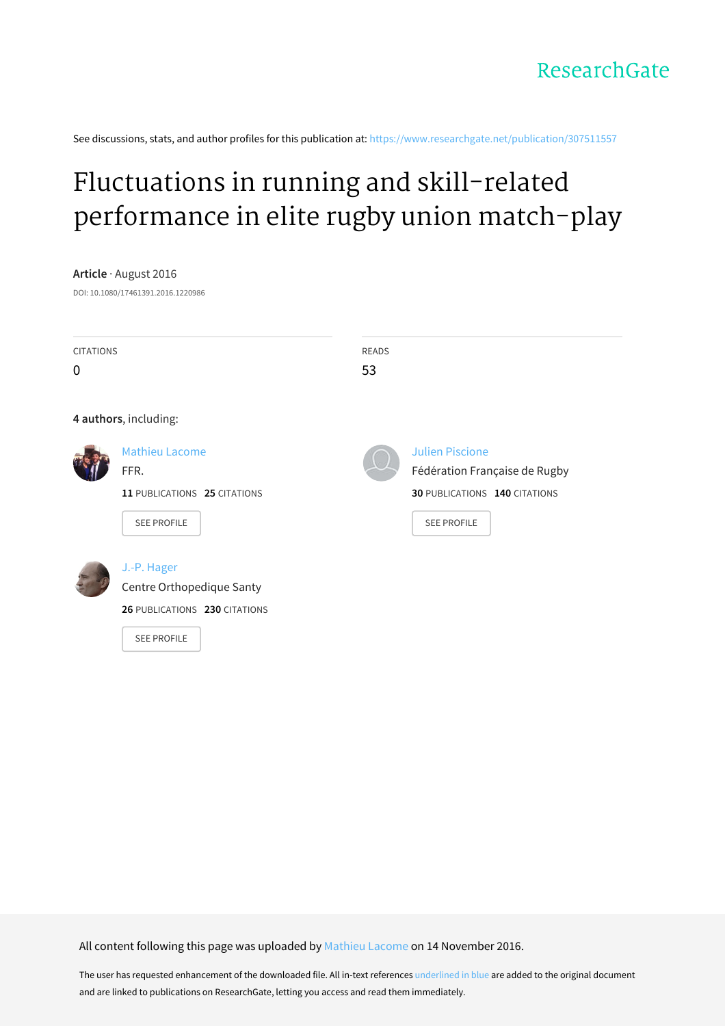See discussions, stats, and author profiles for this publication at: [https://www.researchgate.net/publication/307511557](https://www.researchgate.net/publication/307511557_Fluctuations_in_running_and_skill-related_performance_in_elite_rugby_union_match-play?enrichId=rgreq-271e86af47155fd7972757495ca610ea-XXX&enrichSource=Y292ZXJQYWdlOzMwNzUxMTU1NztBUzo0Mjg0MTU1NTI2MjY2ODlAMTQ3OTE1MzYzNTA5Mw%3D%3D&el=1_x_2&_esc=publicationCoverPdf)

# Fluctuations in running and skill-related [performance](https://www.researchgate.net/publication/307511557_Fluctuations_in_running_and_skill-related_performance_in_elite_rugby_union_match-play?enrichId=rgreq-271e86af47155fd7972757495ca610ea-XXX&enrichSource=Y292ZXJQYWdlOzMwNzUxMTU1NztBUzo0Mjg0MTU1NTI2MjY2ODlAMTQ3OTE1MzYzNTA5Mw%3D%3D&el=1_x_3&_esc=publicationCoverPdf) in elite rugby union match-play

**Article** · August 2016 DOI: 10.1080/17461391.2016.1220986 CITATIONS  $\Omega$ READS 53 **4 authors**, including: [Mathieu](https://www.researchgate.net/profile/Mathieu_Lacome?enrichId=rgreq-271e86af47155fd7972757495ca610ea-XXX&enrichSource=Y292ZXJQYWdlOzMwNzUxMTU1NztBUzo0Mjg0MTU1NTI2MjY2ODlAMTQ3OTE1MzYzNTA5Mw%3D%3D&el=1_x_5&_esc=publicationCoverPdf) Lacome FFR. **11** PUBLICATIONS **25** CITATIONS SEE [PROFILE](https://www.researchgate.net/profile/Mathieu_Lacome?enrichId=rgreq-271e86af47155fd7972757495ca610ea-XXX&enrichSource=Y292ZXJQYWdlOzMwNzUxMTU1NztBUzo0Mjg0MTU1NTI2MjY2ODlAMTQ3OTE1MzYzNTA5Mw%3D%3D&el=1_x_7&_esc=publicationCoverPdf) Julien [Piscione](https://www.researchgate.net/profile/Julien_Piscione?enrichId=rgreq-271e86af47155fd7972757495ca610ea-XXX&enrichSource=Y292ZXJQYWdlOzMwNzUxMTU1NztBUzo0Mjg0MTU1NTI2MjY2ODlAMTQ3OTE1MzYzNTA5Mw%3D%3D&el=1_x_5&_esc=publicationCoverPdf) Fédération Française de Rugby **30** PUBLICATIONS **140** CITATIONS SEE [PROFILE](https://www.researchgate.net/profile/Julien_Piscione?enrichId=rgreq-271e86af47155fd7972757495ca610ea-XXX&enrichSource=Y292ZXJQYWdlOzMwNzUxMTU1NztBUzo0Mjg0MTU1NTI2MjY2ODlAMTQ3OTE1MzYzNTA5Mw%3D%3D&el=1_x_7&_esc=publicationCoverPdf) J.-P. [Hager](https://www.researchgate.net/profile/J-P_Hager?enrichId=rgreq-271e86af47155fd7972757495ca610ea-XXX&enrichSource=Y292ZXJQYWdlOzMwNzUxMTU1NztBUzo0Mjg0MTU1NTI2MjY2ODlAMTQ3OTE1MzYzNTA5Mw%3D%3D&el=1_x_5&_esc=publicationCoverPdf) Centre [Orthopedique](https://www.researchgate.net/institution/Centre_Orthopedique_Santy?enrichId=rgreq-271e86af47155fd7972757495ca610ea-XXX&enrichSource=Y292ZXJQYWdlOzMwNzUxMTU1NztBUzo0Mjg0MTU1NTI2MjY2ODlAMTQ3OTE1MzYzNTA5Mw%3D%3D&el=1_x_6&_esc=publicationCoverPdf) Santy **26** PUBLICATIONS **230** CITATIONS

SEE [PROFILE](https://www.researchgate.net/profile/J-P_Hager?enrichId=rgreq-271e86af47155fd7972757495ca610ea-XXX&enrichSource=Y292ZXJQYWdlOzMwNzUxMTU1NztBUzo0Mjg0MTU1NTI2MjY2ODlAMTQ3OTE1MzYzNTA5Mw%3D%3D&el=1_x_7&_esc=publicationCoverPdf)

All content following this page was uploaded by [Mathieu](https://www.researchgate.net/profile/Mathieu_Lacome?enrichId=rgreq-271e86af47155fd7972757495ca610ea-XXX&enrichSource=Y292ZXJQYWdlOzMwNzUxMTU1NztBUzo0Mjg0MTU1NTI2MjY2ODlAMTQ3OTE1MzYzNTA5Mw%3D%3D&el=1_x_10&_esc=publicationCoverPdf) Lacome on 14 November 2016.

The user has requested enhancement of the downloaded file. All in-text references underlined in blue are added to the original document and are linked to publications on ResearchGate, letting you access and read them immediately.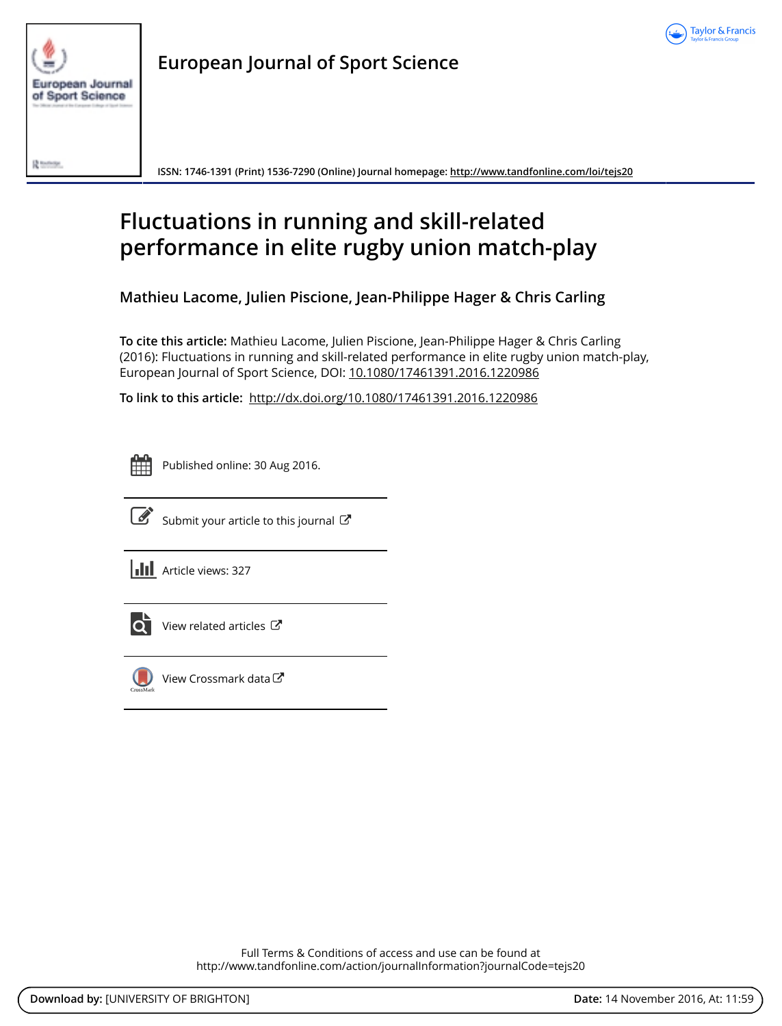



**European Journal of Sport Science**

**ISSN: 1746-1391 (Print) 1536-7290 (Online) Journal homepage:<http://www.tandfonline.com/loi/tejs20>**

## **Fluctuations in running and skill-related performance in elite rugby union match-play**

**Mathieu Lacome, Julien Piscione, Jean-Philippe Hager & Chris Carling**

**To cite this article:** Mathieu Lacome, Julien Piscione, Jean-Philippe Hager & Chris Carling (2016): Fluctuations in running and skill-related performance in elite rugby union match-play, European Journal of Sport Science, DOI: [10.1080/17461391.2016.1220986](http://www.tandfonline.com/action/showCitFormats?doi=10.1080/17461391.2016.1220986)

**To link to this article:** <http://dx.doi.org/10.1080/17461391.2016.1220986>

Published online: 30 Aug 2016.



 $\overline{\mathscr{L}}$  [Submit your article to this journal](http://www.tandfonline.com/action/authorSubmission?journalCode=tejs20&show=instructions)  $\mathbb{Z}$ 

**III** Article views: 327



 $\bullet$  [View related articles](http://www.tandfonline.com/doi/mlt/10.1080/17461391.2016.1220986)  $\mathbb{Z}$ 



[View Crossmark data](http://crossmark.crossref.org/dialog/?doi=10.1080/17461391.2016.1220986&domain=pdf&date_stamp=2016-08-30)<sup>で</sup>

Full Terms & Conditions of access and use can be found at <http://www.tandfonline.com/action/journalInformation?journalCode=tejs20>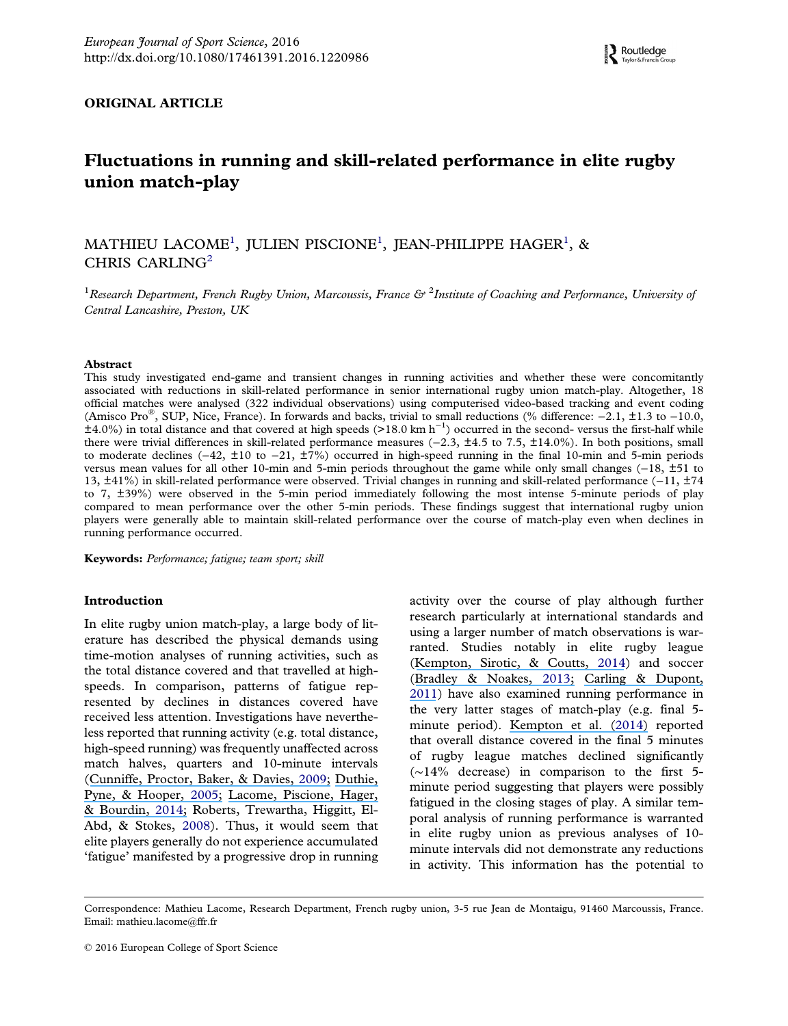#### <span id="page-2-0"></span>ORIGINAL ARTICLE

### Fluctuations in running and skill-related performance in elite rugby union match-play

MATHIEU LACOME<sup>1</sup>, JULIEN PISCIONE<sup>1</sup>, JEAN-PHILIPPE HAGER<sup>1</sup>, & CHRIS CARLING<sup>2</sup>

<sup>1</sup> Research Department, French Rugby Union, Marcoussis, France & <sup>2</sup>Institute of Coaching and Performance, University of Central Lancashire, Preston, UK

#### Abstract

This study investigated end-game and transient changes in running activities and whether these were concomitantly associated with reductions in skill-related performance in senior international rugby union match-play. Altogether, 18 official matches were analysed (322 individual observations) using computerised video-based tracking and event coding (Amisco Pro®, SUP, Nice, France). In forwards and backs, trivial to small reductions (% difference: −2.1, ±1.3 to −10.0, ±4.0%) in total distance and that covered at high speeds (>18.0 km h−<sup>1</sup> ) occurred in the second- versus the first-half while there were trivial differences in skill-related performance measures (−2.3, ±4.5 to 7.5, ±14.0%). In both positions, small to moderate declines (−42, ±10 to −21, ±7%) occurred in high-speed running in the final 10-min and 5-min periods versus mean values for all other 10-min and 5-min periods throughout the game while only small changes (−18, ±51 to 13, ±41%) in skill-related performance were observed. Trivial changes in running and skill-related performance (−11, ±74 to 7, ±39%) were observed in the 5-min period immediately following the most intense 5-minute periods of play compared to mean performance over the other 5-min periods. These findings suggest that international rugby union players were generally able to maintain skill-related performance over the course of match-play even when declines in running performance occurred.

Keywords: Performance; fatigue; team sport; skill

#### Introduction

In elite rugby union match-play, a large body of literature has described the physical demands using time-motion analyses of running activities, such as the total distance covered and that travelled at highspeeds. In comparison, patterns of fatigue represented by declines in distances covered have received less attention. Investigations have nevertheless reported that running activity (e.g. total distance, high-speed running) was frequently unaffected across match halves, quarters and 10-minute intervals ([Cunniffe, Proctor, Baker, & Davies,](https://www.researchgate.net/publication/26294248_An_Evaluation_of_the_Physiological_Demands_of_Elite_Rugby_Union_Using_Global_Positioning_System_Tracking_Software?el=1_x_8&enrichId=rgreq-271e86af47155fd7972757495ca610ea-XXX&enrichSource=Y292ZXJQYWdlOzMwNzUxMTU1NztBUzo0Mjg0MTU1NTI2MjY2ODlAMTQ3OTE1MzYzNTA5Mw==) [2009;](#page-13-0) [Duthie,](https://www.researchgate.net/publication/7570069_Time_motion_analysis_of_2001_and_2002_super_12_rugby?el=1_x_8&enrichId=rgreq-271e86af47155fd7972757495ca610ea-XXX&enrichSource=Y292ZXJQYWdlOzMwNzUxMTU1NztBUzo0Mjg0MTU1NTI2MjY2ODlAMTQ3OTE1MzYzNTA5Mw==) [Pyne, & Hooper,](https://www.researchgate.net/publication/7570069_Time_motion_analysis_of_2001_and_2002_super_12_rugby?el=1_x_8&enrichId=rgreq-271e86af47155fd7972757495ca610ea-XXX&enrichSource=Y292ZXJQYWdlOzMwNzUxMTU1NztBUzo0Mjg0MTU1NTI2MjY2ODlAMTQ3OTE1MzYzNTA5Mw==) [2005](#page-13-0); [Lacome, Piscione, Hager,](https://www.researchgate.net/publication/256478620_A_new_approach_to_quantifying_physical_demand_in_rugby_union?el=1_x_8&enrichId=rgreq-271e86af47155fd7972757495ca610ea-XXX&enrichSource=Y292ZXJQYWdlOzMwNzUxMTU1NztBUzo0Mjg0MTU1NTI2MjY2ODlAMTQ3OTE1MzYzNTA5Mw==) [& Bourdin,](https://www.researchgate.net/publication/256478620_A_new_approach_to_quantifying_physical_demand_in_rugby_union?el=1_x_8&enrichId=rgreq-271e86af47155fd7972757495ca610ea-XXX&enrichSource=Y292ZXJQYWdlOzMwNzUxMTU1NztBUzo0Mjg0MTU1NTI2MjY2ODlAMTQ3OTE1MzYzNTA5Mw==) [2014;](#page-13-0) Roberts, Trewartha, Higgitt, El-Abd, & Stokes, [2008\)](#page-13-0). Thus, it would seem that elite players generally do not experience accumulated 'fatigue' manifested by a progressive drop in running activity over the course of play although further research particularly at international standards and using a larger number of match observations is warranted. Studies notably in elite rugby league ([Kempton, Sirotic, & Coutts,](https://www.researchgate.net/publication/262608364_An_integrated_analysis_of_match-related_fatigue_in_professional_rugby_league?el=1_x_8&enrichId=rgreq-271e86af47155fd7972757495ca610ea-XXX&enrichSource=Y292ZXJQYWdlOzMwNzUxMTU1NztBUzo0Mjg0MTU1NTI2MjY2ODlAMTQ3OTE1MzYzNTA5Mw==) [2014\)](#page-13-0) and soccer ([Bradley & Noakes,](https://www.researchgate.net/publication/243964574_Match_running_performance_fluctuations_in_elite_soccer_Indicative_of_fatigue_pacing_or_situational_influences?el=1_x_8&enrichId=rgreq-271e86af47155fd7972757495ca610ea-XXX&enrichSource=Y292ZXJQYWdlOzMwNzUxMTU1NztBUzo0Mjg0MTU1NTI2MjY2ODlAMTQ3OTE1MzYzNTA5Mw==) [2013](#page-13-0); [Carling & Dupont,](https://www.researchgate.net/publication/47792393_Are_declines_in_physical_performance_associated_with_a_reduction_in_skill-related_performance_during_professional_soccer_match-play?el=1_x_8&enrichId=rgreq-271e86af47155fd7972757495ca610ea-XXX&enrichSource=Y292ZXJQYWdlOzMwNzUxMTU1NztBUzo0Mjg0MTU1NTI2MjY2ODlAMTQ3OTE1MzYzNTA5Mw==) [2011\)](#page-13-0) have also examined running performance in the very latter stages of match-play (e.g. final 5 minute period). [Kempton et al. \(](https://www.researchgate.net/publication/262608364_An_integrated_analysis_of_match-related_fatigue_in_professional_rugby_league?el=1_x_8&enrichId=rgreq-271e86af47155fd7972757495ca610ea-XXX&enrichSource=Y292ZXJQYWdlOzMwNzUxMTU1NztBUzo0Mjg0MTU1NTI2MjY2ODlAMTQ3OTE1MzYzNTA5Mw==)[2014](#page-13-0)[\)](https://www.researchgate.net/publication/262608364_An_integrated_analysis_of_match-related_fatigue_in_professional_rugby_league?el=1_x_8&enrichId=rgreq-271e86af47155fd7972757495ca610ea-XXX&enrichSource=Y292ZXJQYWdlOzMwNzUxMTU1NztBUzo0Mjg0MTU1NTI2MjY2ODlAMTQ3OTE1MzYzNTA5Mw==) reported that overall distance covered in the final 5 minutes of rugby league matches declined significantly (∼14% decrease) in comparison to the first 5 minute period suggesting that players were possibly fatigued in the closing stages of play. A similar temporal analysis of running performance is warranted in elite rugby union as previous analyses of 10 minute intervals did not demonstrate any reductions in activity. This information has the potential to

Correspondence: Mathieu Lacome, Research Department, French rugby union, 3-5 rue Jean de Montaigu, 91460 Marcoussis, France. Email: [mathieu.lacome@ffr.fr](mailto:mathieu.lacome@ffr.fr)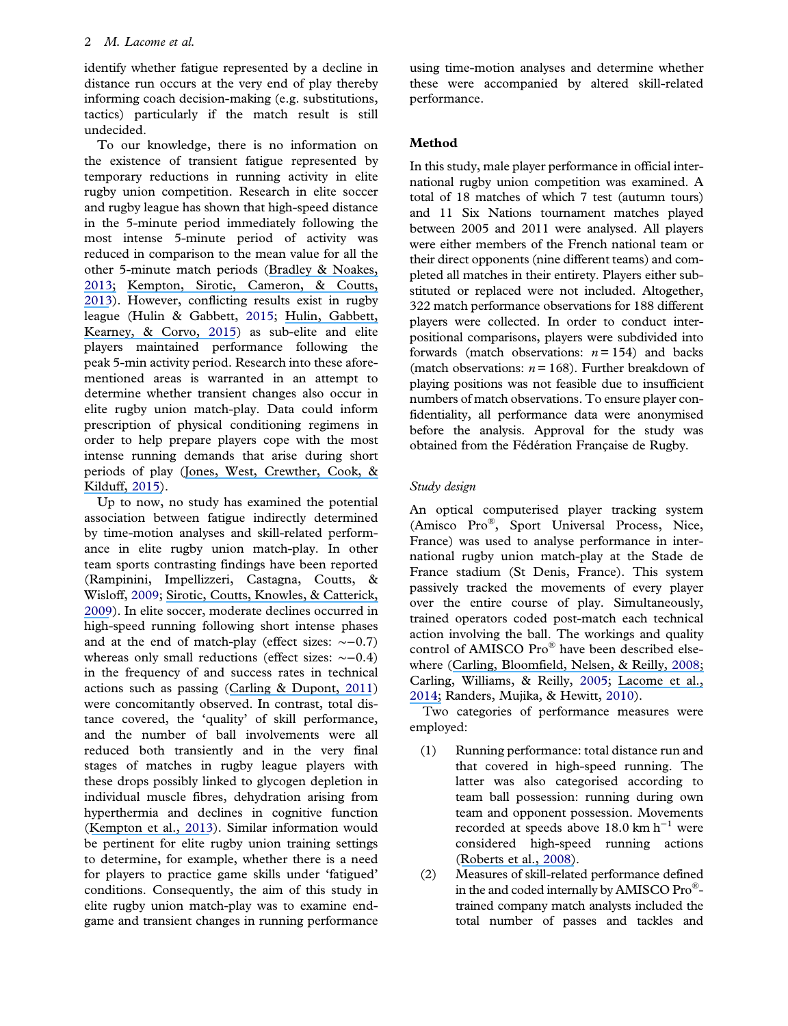<span id="page-3-0"></span>identify whether fatigue represented by a decline in distance run occurs at the very end of play thereby informing coach decision-making (e.g. substitutions, tactics) particularly if the match result is still undecided.

To our knowledge, there is no information on the existence of transient fatigue represented by temporary reductions in running activity in elite rugby union competition. Research in elite soccer and rugby league has shown that high-speed distance in the 5-minute period immediately following the most intense 5-minute period of activity was reduced in comparison to the mean value for all the other 5-minute match periods ([Bradley & Noakes,](https://www.researchgate.net/publication/243964574_Match_running_performance_fluctuations_in_elite_soccer_Indicative_of_fatigue_pacing_or_situational_influences?el=1_x_8&enrichId=rgreq-271e86af47155fd7972757495ca610ea-XXX&enrichSource=Y292ZXJQYWdlOzMwNzUxMTU1NztBUzo0Mjg0MTU1NTI2MjY2ODlAMTQ3OTE1MzYzNTA5Mw==) [2013](#page-13-0)[;](https://www.researchgate.net/publication/243964574_Match_running_performance_fluctuations_in_elite_soccer_Indicative_of_fatigue_pacing_or_situational_influences?el=1_x_8&enrichId=rgreq-271e86af47155fd7972757495ca610ea-XXX&enrichSource=Y292ZXJQYWdlOzMwNzUxMTU1NztBUzo0Mjg0MTU1NTI2MjY2ODlAMTQ3OTE1MzYzNTA5Mw==) [Kempton, Sirotic, Cameron, & Coutts,](https://www.researchgate.net/publication/237095825_Match-related_fatigue_reduces_physical_and_technical_performance_during_elite_rugby_league_match-play_A_case_study?el=1_x_8&enrichId=rgreq-271e86af47155fd7972757495ca610ea-XXX&enrichSource=Y292ZXJQYWdlOzMwNzUxMTU1NztBUzo0Mjg0MTU1NTI2MjY2ODlAMTQ3OTE1MzYzNTA5Mw==) [2013\)](#page-13-0). However, conflicting results exist in rugby league (Hulin & Gabbett, [2015;](#page-13-0) [Hulin, Gabbett,](https://www.researchgate.net/publication/265094069_Physical_Demands_of_Match-Play_in_Successful_and_Less-Successful_Elite_Rugby_League_Teams?el=1_x_8&enrichId=rgreq-271e86af47155fd7972757495ca610ea-XXX&enrichSource=Y292ZXJQYWdlOzMwNzUxMTU1NztBUzo0Mjg0MTU1NTI2MjY2ODlAMTQ3OTE1MzYzNTA5Mw==) [Kearney, & Corvo,](https://www.researchgate.net/publication/265094069_Physical_Demands_of_Match-Play_in_Successful_and_Less-Successful_Elite_Rugby_League_Teams?el=1_x_8&enrichId=rgreq-271e86af47155fd7972757495ca610ea-XXX&enrichSource=Y292ZXJQYWdlOzMwNzUxMTU1NztBUzo0Mjg0MTU1NTI2MjY2ODlAMTQ3OTE1MzYzNTA5Mw==) [2015\)](#page-13-0) as sub-elite and elite players maintained performance following the peak 5-min activity period. Research into these aforementioned areas is warranted in an attempt to determine whether transient changes also occur in elite rugby union match-play. Data could inform prescription of physical conditioning regimens in order to help prepare players cope with the most intense running demands that arise during short periods of play ([Jones, West, Crewther, Cook, &](https://www.researchgate.net/publication/272187303_Quantifying_positional_and_temporal_movement_patterns_in_professional_rugby_union_using_global_positioning_system?el=1_x_8&enrichId=rgreq-271e86af47155fd7972757495ca610ea-XXX&enrichSource=Y292ZXJQYWdlOzMwNzUxMTU1NztBUzo0Mjg0MTU1NTI2MjY2ODlAMTQ3OTE1MzYzNTA5Mw==) [Kilduff,](https://www.researchgate.net/publication/272187303_Quantifying_positional_and_temporal_movement_patterns_in_professional_rugby_union_using_global_positioning_system?el=1_x_8&enrichId=rgreq-271e86af47155fd7972757495ca610ea-XXX&enrichSource=Y292ZXJQYWdlOzMwNzUxMTU1NztBUzo0Mjg0MTU1NTI2MjY2ODlAMTQ3OTE1MzYzNTA5Mw==) [2015\)](#page-13-0).

Up to now, no study has examined the potential association between fatigue indirectly determined by time-motion analyses and skill-related performance in elite rugby union match-play. In other team sports contrasting findings have been reported (Rampinini, Impellizzeri, Castagna, Coutts, & Wisloff, [2009](#page-13-0); [Sirotic, Coutts, Knowles, & Catterick,](https://www.researchgate.net/publication/23801513_A_comparison_of_match_demands_between_elite_and_semi-elite_rugby_league_competition?el=1_x_8&enrichId=rgreq-271e86af47155fd7972757495ca610ea-XXX&enrichSource=Y292ZXJQYWdlOzMwNzUxMTU1NztBUzo0Mjg0MTU1NTI2MjY2ODlAMTQ3OTE1MzYzNTA5Mw==) [2009\)](#page-13-0). In elite soccer, moderate declines occurred in high-speed running following short intense phases and at the end of match-play (effect sizes: ∼−0.7) whereas only small reductions (effect sizes: ∼−0.4) in the frequency of and success rates in technical actions such as passing ([Carling & Dupont,](https://www.researchgate.net/publication/47792393_Are_declines_in_physical_performance_associated_with_a_reduction_in_skill-related_performance_during_professional_soccer_match-play?el=1_x_8&enrichId=rgreq-271e86af47155fd7972757495ca610ea-XXX&enrichSource=Y292ZXJQYWdlOzMwNzUxMTU1NztBUzo0Mjg0MTU1NTI2MjY2ODlAMTQ3OTE1MzYzNTA5Mw==) [2011\)](#page-13-0) were concomitantly observed. In contrast, total distance covered, the 'quality' of skill performance, and the number of ball involvements were all reduced both transiently and in the very final stages of matches in rugby league players with these drops possibly linked to glycogen depletion in individual muscle fibres, dehydration arising from hyperthermia and declines in cognitive function ([Kempton et al.,](https://www.researchgate.net/publication/237095825_Match-related_fatigue_reduces_physical_and_technical_performance_during_elite_rugby_league_match-play_A_case_study?el=1_x_8&enrichId=rgreq-271e86af47155fd7972757495ca610ea-XXX&enrichSource=Y292ZXJQYWdlOzMwNzUxMTU1NztBUzo0Mjg0MTU1NTI2MjY2ODlAMTQ3OTE1MzYzNTA5Mw==) [2013\)](#page-13-0). Similar information would be pertinent for elite rugby union training settings to determine, for example, whether there is a need for players to practice game skills under 'fatigued' conditions. Consequently, the aim of this study in elite rugby union match-play was to examine endgame and transient changes in running performance

using time-motion analyses and determine whether these were accompanied by altered skill-related performance.

#### Method

In this study, male player performance in official international rugby union competition was examined. A total of 18 matches of which 7 test (autumn tours) and 11 Six Nations tournament matches played between 2005 and 2011 were analysed. All players were either members of the French national team or their direct opponents (nine different teams) and completed all matches in their entirety. Players either substituted or replaced were not included. Altogether, 322 match performance observations for 188 different players were collected. In order to conduct interpositional comparisons, players were subdivided into forwards (match observations:  $n = 154$ ) and backs (match observations:  $n = 168$ ). Further breakdown of playing positions was not feasible due to insufficient numbers of match observations. To ensure player confidentiality, all performance data were anonymised before the analysis. Approval for the study was obtained from the Fédération Française de Rugby.

#### Study design

An optical computerised player tracking system (Amisco Pro®, Sport Universal Process, Nice, France) was used to analyse performance in international rugby union match-play at the Stade de France stadium (St Denis, France). This system passively tracked the movements of every player over the entire course of play. Simultaneously, trained operators coded post-match each technical action involving the ball. The workings and quality control of AMISCO Pro® have been described elsewhere ([Carling, Bloomfield, Nelsen, & Reilly,](https://www.researchgate.net/publication/23268550_Carling_C_Bloomfield_J_Nelsen_L_Reilly_T_The_role_of_motion_analysis_in_elite_soccer_contemporary_performance_measurements_techniques_and_work_rate_data_Sports_Med3810839-62?el=1_x_8&enrichId=rgreq-271e86af47155fd7972757495ca610ea-XXX&enrichSource=Y292ZXJQYWdlOzMwNzUxMTU1NztBUzo0Mjg0MTU1NTI2MjY2ODlAMTQ3OTE1MzYzNTA5Mw==) [2008](#page-13-0); Carling, Williams, & Reilly, [2005](#page-13-0); [Lacome et al.,](https://www.researchgate.net/publication/256478620_A_new_approach_to_quantifying_physical_demand_in_rugby_union?el=1_x_8&enrichId=rgreq-271e86af47155fd7972757495ca610ea-XXX&enrichSource=Y292ZXJQYWdlOzMwNzUxMTU1NztBUzo0Mjg0MTU1NTI2MjY2ODlAMTQ3OTE1MzYzNTA5Mw==) [2014](#page-13-0)[;](https://www.researchgate.net/publication/256478620_A_new_approach_to_quantifying_physical_demand_in_rugby_union?el=1_x_8&enrichId=rgreq-271e86af47155fd7972757495ca610ea-XXX&enrichSource=Y292ZXJQYWdlOzMwNzUxMTU1NztBUzo0Mjg0MTU1NTI2MjY2ODlAMTQ3OTE1MzYzNTA5Mw==) Randers, Mujika, & Hewitt, [2010](#page-13-0)).

Two categories of performance measures were employed:

- (1) Running performance: total distance run and that covered in high-speed running. The latter was also categorised according to team ball possession: running during own team and opponent possession. Movements recorded at speeds above 18.0 km  $h^{-1}$  were considered high-speed running actions ([Roberts et al.,](https://www.researchgate.net/publication/5286127_The_physical_demands_of_elite_English_rugby_union?el=1_x_8&enrichId=rgreq-271e86af47155fd7972757495ca610ea-XXX&enrichSource=Y292ZXJQYWdlOzMwNzUxMTU1NztBUzo0Mjg0MTU1NTI2MjY2ODlAMTQ3OTE1MzYzNTA5Mw==) [2008\)](#page-13-0).
- (2) Measures of skill-related performance defined in the and coded internally by AMISCO Pro® trained company match analysts included the total number of passes and tackles and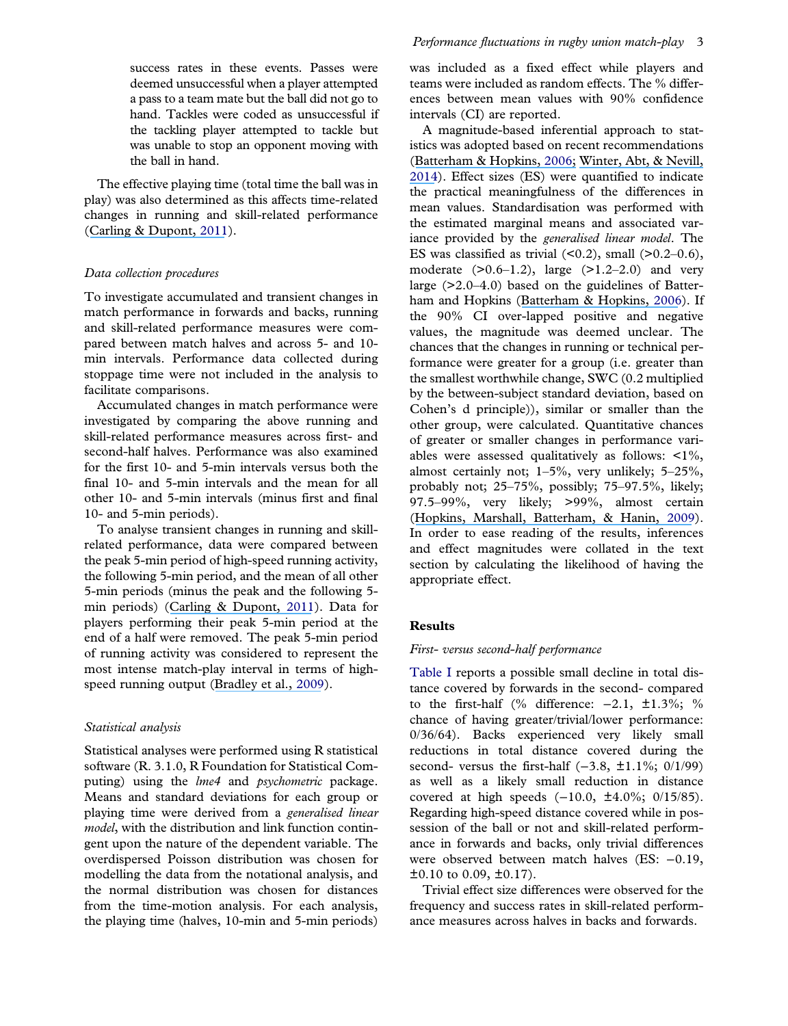<span id="page-4-0"></span>success rates in these events. Passes were deemed unsuccessful when a player attempted a pass to a team mate but the ball did not go to hand. Tackles were coded as unsuccessful if the tackling player attempted to tackle but was unable to stop an opponent moving with the ball in hand.

The effective playing time (total time the ball was in play) was also determined as this affects time-related changes in running and skill-related performance ([Carling & Dupont,](https://www.researchgate.net/publication/47792393_Are_declines_in_physical_performance_associated_with_a_reduction_in_skill-related_performance_during_professional_soccer_match-play?el=1_x_8&enrichId=rgreq-271e86af47155fd7972757495ca610ea-XXX&enrichSource=Y292ZXJQYWdlOzMwNzUxMTU1NztBUzo0Mjg0MTU1NTI2MjY2ODlAMTQ3OTE1MzYzNTA5Mw==) [2011](#page-13-0)).

#### Data collection procedures

To investigate accumulated and transient changes in match performance in forwards and backs, running and skill-related performance measures were compared between match halves and across 5- and 10 min intervals. Performance data collected during stoppage time were not included in the analysis to facilitate comparisons.

Accumulated changes in match performance were investigated by comparing the above running and skill-related performance measures across first- and second-half halves. Performance was also examined for the first 10- and 5-min intervals versus both the final 10- and 5-min intervals and the mean for all other 10- and 5-min intervals (minus first and final 10- and 5-min periods).

To analyse transient changes in running and skillrelated performance, data were compared between the peak 5-min period of high-speed running activity, the following 5-min period, and the mean of all other 5-min periods (minus the peak and the following 5 min periods) ([Carling & Dupont,](https://www.researchgate.net/publication/47792393_Are_declines_in_physical_performance_associated_with_a_reduction_in_skill-related_performance_during_professional_soccer_match-play?el=1_x_8&enrichId=rgreq-271e86af47155fd7972757495ca610ea-XXX&enrichSource=Y292ZXJQYWdlOzMwNzUxMTU1NztBUzo0Mjg0MTU1NTI2MjY2ODlAMTQ3OTE1MzYzNTA5Mw==) [2011](#page-13-0)). Data for players performing their peak 5-min period at the end of a half were removed. The peak 5-min period of running activity was considered to represent the most intense match-play interval in terms of high-speed running output ([Bradley et al.,](https://www.researchgate.net/publication/23801521_High-intensity_running_in_English_FA_Premier_League_Soccer_Matches?el=1_x_8&enrichId=rgreq-271e86af47155fd7972757495ca610ea-XXX&enrichSource=Y292ZXJQYWdlOzMwNzUxMTU1NztBUzo0Mjg0MTU1NTI2MjY2ODlAMTQ3OTE1MzYzNTA5Mw==) [2009\)](#page-13-0).

#### Statistical analysis

Statistical analyses were performed using R statistical software (R. 3.1.0, R Foundation for Statistical Computing) using the *lme4* and *psychometric* package. Means and standard deviations for each group or playing time were derived from a generalised linear model, with the distribution and link function contingent upon the nature of the dependent variable. The overdispersed Poisson distribution was chosen for modelling the data from the notational analysis, and the normal distribution was chosen for distances from the time-motion analysis. For each analysis, the playing time (halves, 10-min and 5-min periods)

was included as a fixed effect while players and teams were included as random effects. The % differences between mean values with 90% confidence intervals (CI) are reported.

A magnitude-based inferential approach to statistics was adopted based on recent recommendations ([Batterham & Hopkins,](https://www.researchgate.net/publication/23711947_Making_Meaningful_Inferences_About_Magnitudes?el=1_x_8&enrichId=rgreq-271e86af47155fd7972757495ca610ea-XXX&enrichSource=Y292ZXJQYWdlOzMwNzUxMTU1NztBUzo0Mjg0MTU1NTI2MjY2ODlAMTQ3OTE1MzYzNTA5Mw==) [2006;](#page-13-0) [Winter, Abt, & Nevill,](https://www.researchgate.net/publication/260995086_Metrics_of_meaningfulness_as_opposed_to_sleights_of_significance?el=1_x_8&enrichId=rgreq-271e86af47155fd7972757495ca610ea-XXX&enrichSource=Y292ZXJQYWdlOzMwNzUxMTU1NztBUzo0Mjg0MTU1NTI2MjY2ODlAMTQ3OTE1MzYzNTA5Mw==) [2014\)](#page-13-0). Effect sizes (ES) were quantified to indicate the practical meaningfulness of the differences in mean values. Standardisation was performed with the estimated marginal means and associated variance provided by the generalised linear model. The ES was classified as trivial  $(0.2)$ , small  $(0.2-0.6)$ , moderate  $(>0.6-1.2)$ , large  $(>1.2-2.0)$  and very large (>2.0–4.0) based on the guidelines of Batterham and Hopkins ([Batterham & Hopkins,](https://www.researchgate.net/publication/23711947_Making_Meaningful_Inferences_About_Magnitudes?el=1_x_8&enrichId=rgreq-271e86af47155fd7972757495ca610ea-XXX&enrichSource=Y292ZXJQYWdlOzMwNzUxMTU1NztBUzo0Mjg0MTU1NTI2MjY2ODlAMTQ3OTE1MzYzNTA5Mw==) [2006](#page-13-0)). If the 90% CI over-lapped positive and negative values, the magnitude was deemed unclear. The chances that the changes in running or technical performance were greater for a group (i.e. greater than the smallest worthwhile change, SWC (0.2 multiplied by the between-subject standard deviation, based on Cohen's d principle)), similar or smaller than the other group, were calculated. Quantitative chances of greater or smaller changes in performance variables were assessed qualitatively as follows: <1%, almost certainly not; 1–5%, very unlikely; 5–25%, probably not; 25–75%, possibly; 75–97.5%, likely; 97.5–99%, very likely; >99%, almost certain ([Hopkins, Marshall, Batterham, & Hanin,](https://www.researchgate.net/publication/23673714_Progressive_Statistics_for_Studies_in_Sports_Medicine_and_Exercise_Science?el=1_x_8&enrichId=rgreq-271e86af47155fd7972757495ca610ea-XXX&enrichSource=Y292ZXJQYWdlOzMwNzUxMTU1NztBUzo0Mjg0MTU1NTI2MjY2ODlAMTQ3OTE1MzYzNTA5Mw==) [2009\)](#page-13-0). In order to ease reading of the results, inferences and effect magnitudes were collated in the text section by calculating the likelihood of having the appropriate effect.

#### **Results**

#### First- versus second-half performance

[Table I](#page-5-0) reports a possible small decline in total distance covered by forwards in the second- compared to the first-half (% difference: −2.1, ±1.3%; % chance of having greater/trivial/lower performance: 0/36/64). Backs experienced very likely small reductions in total distance covered during the second- versus the first-half  $(-3.8, \pm 1.1\%; 0/1/99)$ as well as a likely small reduction in distance covered at high speeds (−10.0, ±4.0%; 0/15/85). Regarding high-speed distance covered while in possession of the ball or not and skill-related performance in forwards and backs, only trivial differences were observed between match halves (ES: −0.19,  $\pm 0.10$  to 0.09,  $\pm 0.17$ ).

Trivial effect size differences were observed for the frequency and success rates in skill-related performance measures across halves in backs and forwards.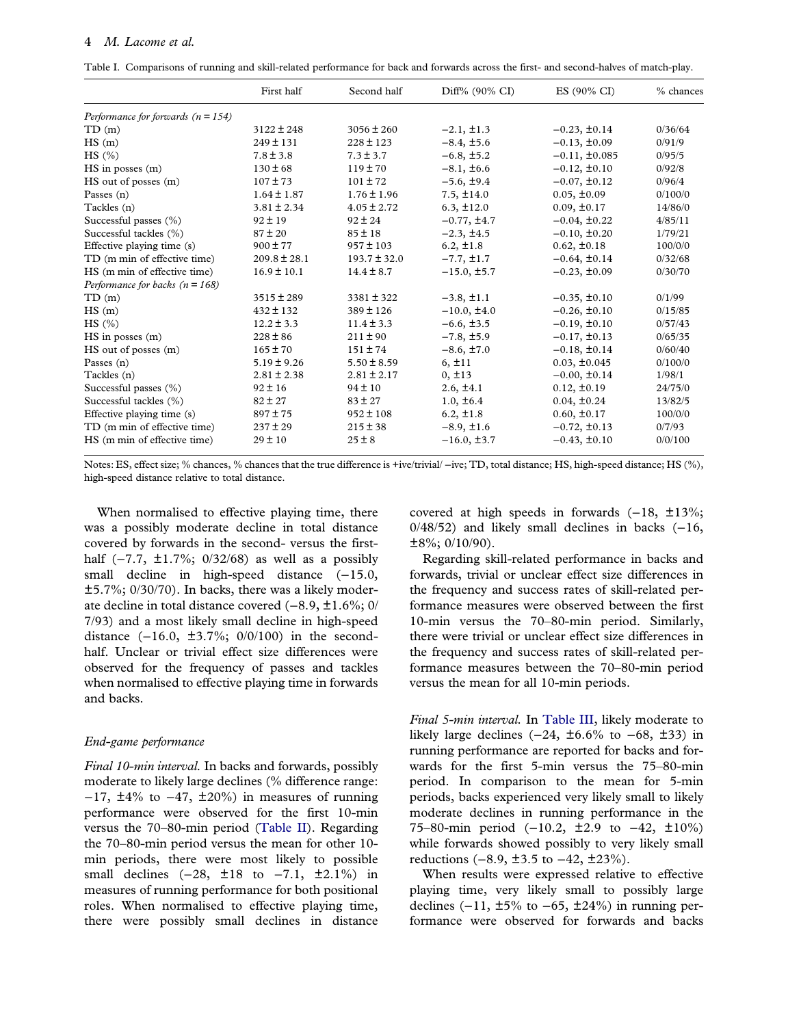<span id="page-5-0"></span>Table I. Comparisons of running and skill-related performance for back and forwards across the first- and second-halves of match-play.

|                                        | First half       | Second half      | Diff% (90% CI)   | ES (90% CI)        | % chances |
|----------------------------------------|------------------|------------------|------------------|--------------------|-----------|
| Performance for forwards ( $n = 154$ ) |                  |                  |                  |                    |           |
| TD(m)                                  | $3122 \pm 248$   | $3056 \pm 260$   | $-2.1, \pm 1.3$  | $-0.23, \pm 0.14$  | 0/36/64   |
| HS(m)                                  | $249 \pm 131$    | $228 \pm 123$    | $-8.4, \pm 5.6$  | $-0.13, \pm 0.09$  | 0/91/9    |
| HS(%)                                  | $7.8 \pm 3.8$    | $7.3 \pm 3.7$    | $-6.8, \pm 5.2$  | $-0.11, \pm 0.085$ | 0/95/5    |
| $HS$ in posses $(m)$                   | $130 \pm 68$     | $119 \pm 70$     | $-8.1, \pm 6.6$  | $-0.12, \pm 0.10$  | 0/92/8    |
| HS out of posses (m)                   | $107 \pm 73$     | $101 \pm 72$     | $-5.6, \pm 9.4$  | $-0.07, \pm 0.12$  | 0/96/4    |
| Passes $(n)$                           | $1.64 \pm 1.87$  | $1.76 \pm 1.96$  | $7.5, \pm 14.0$  | $0.05, \pm 0.09$   | 0/100/0   |
| Tackles (n)                            | $3.81 \pm 2.34$  | $4.05 \pm 2.72$  | $6.3, \pm 12.0$  | $0.09, \pm 0.17$   | 14/86/0   |
| Successful passes (%)                  | $92 \pm 19$      | $92 \pm 24$      | $-0.77, \pm 4.7$ | $-0.04, \pm 0.22$  | 4/85/11   |
| Successful tackles (%)                 | $87 \pm 20$      | $85 \pm 18$      | $-2.3, \pm 4.5$  | $-0.10, \pm 0.20$  | 1/79/21   |
| Effective playing time (s)             | $900 \pm 77$     | $957 \pm 103$    | $6.2, \pm 1.8$   | $0.62, \pm 0.18$   | 100/0/0   |
| TD (m min of effective time)           | $209.8 \pm 28.1$ | $193.7 \pm 32.0$ | $-7.7, \pm 1.7$  | $-0.64, \pm 0.14$  | 0/32/68   |
| HS (m min of effective time)           | $16.9 \pm 10.1$  | $14.4 \pm 8.7$   | $-15.0, \pm 5.7$ | $-0.23, \pm 0.09$  | 0/30/70   |
| Performance for backs ( $n = 168$ )    |                  |                  |                  |                    |           |
| TD(m)                                  | $3515 \pm 289$   | $3381 \pm 322$   | $-3.8, \pm 1.1$  | $-0.35, \pm 0.10$  | 0/1/99    |
| HS(m)                                  | $432 \pm 132$    | $389 \pm 126$    | $-10.0, \pm 4.0$ | $-0.26, \pm 0.10$  | 0/15/85   |
| HS (%)                                 | $12.2 \pm 3.3$   | $11.4 \pm 3.3$   | $-6.6, \pm 3.5$  | $-0.19, \pm 0.10$  | 0/57/43   |
| $HS$ in posses $(m)$                   | $228 \pm 86$     | $211 \pm 90$     | $-7.8, \pm 5.9$  | $-0.17, \pm 0.13$  | 0/65/35   |
| HS out of posses (m)                   | $165 \pm 70$     | $151 \pm 74$     | $-8.6, \pm 7.0$  | $-0.18, \pm 0.14$  | 0/60/40   |
| Passes $(n)$                           | $5.19 \pm 9.26$  | $5.50 \pm 8.59$  | 6, ±11           | $0.03, \pm 0.045$  | 0/100/0   |
| Tackles (n)                            | $2.81 \pm 2.38$  | $2.81 \pm 2.17$  | $0, \pm 13$      | $-0.00, \pm 0.14$  | 1/98/1    |
| Successful passes (%)                  | $92 \pm 16$      | $94 \pm 10$      | $2.6, \pm 4.1$   | $0.12, \pm 0.19$   | 24/75/0   |
| Successful tackles (%)                 | $82 \pm 27$      | $83 \pm 27$      | $1.0, \pm 6.4$   | $0.04, \pm 0.24$   | 13/82/5   |
| Effective playing time (s)             | $897 \pm 75$     | $952 \pm 108$    | $6.2, \pm 1.8$   | $0.60, \pm 0.17$   | 100/0/0   |
| TD (m min of effective time)           | $237 \pm 29$     | $215 \pm 38$     | $-8.9, \pm 1.6$  | $-0.72, \pm 0.13$  | 0/7/93    |
| HS (m min of effective time)           | $29 \pm 10$      | $25 \pm 8$       | $-16.0, \pm 3.7$ | $-0.43, \pm 0.10$  | 0/0/100   |

Notes: ES, effect size; % chances, % chances that the true difference is +ive/trivial/ −ive; TD, total distance; HS, high-speed distance; HS (%), high-speed distance relative to total distance.

When normalised to effective playing time, there was a possibly moderate decline in total distance covered by forwards in the second- versus the firsthalf  $(-7.7, ±1.7\%; 0/32/68)$  as well as a possibly small decline in high-speed distance (-15.0, ±5.7%; 0/30/70). In backs, there was a likely moderate decline in total distance covered (−8.9, ±1.6%; 0/ 7/93) and a most likely small decline in high-speed distance (−16.0, ±3.7%; 0/0/100) in the secondhalf. Unclear or trivial effect size differences were observed for the frequency of passes and tackles when normalised to effective playing time in forwards and backs.

#### End-game performance

Final 10-min interval. In backs and forwards, possibly moderate to likely large declines (% difference range:  $-17$ ,  $\pm 4\%$  to  $-47$ ,  $\pm 20\%$ ) in measures of running performance were observed for the first 10-min versus the 70–80-min period ([Table II](#page-6-0)). Regarding the 70–80-min period versus the mean for other 10 min periods, there were most likely to possible small declines  $(-28, \pm 18)$  to  $-7.1, \pm 2.1\%$  in measures of running performance for both positional roles. When normalised to effective playing time, there were possibly small declines in distance

covered at high speeds in forwards (−18, ±13%;  $0/48/52$ ) and likely small declines in backs  $(-16, 16)$  $\pm 8\%$ ; 0/10/90).

Regarding skill-related performance in backs and forwards, trivial or unclear effect size differences in the frequency and success rates of skill-related performance measures were observed between the first 10-min versus the 70–80-min period. Similarly, there were trivial or unclear effect size differences in the frequency and success rates of skill-related performance measures between the 70–80-min period versus the mean for all 10-min periods.

Final 5-min interval. In [Table III](#page-8-0), likely moderate to likely large declines  $(-24, \pm 6.6\%$  to  $-68, \pm 33)$  in running performance are reported for backs and forwards for the first 5-min versus the 75–80-min period. In comparison to the mean for 5-min periods, backs experienced very likely small to likely moderate declines in running performance in the 75–80-min period (−10.2, ±2.9 to −42, ±10%) while forwards showed possibly to very likely small reductions (−8.9, ±3.5 to −42, ±23%).

When results were expressed relative to effective playing time, very likely small to possibly large declines  $(-11, ±5\%$  to  $-65, ±24\%)$  in running performance were observed for forwards and backs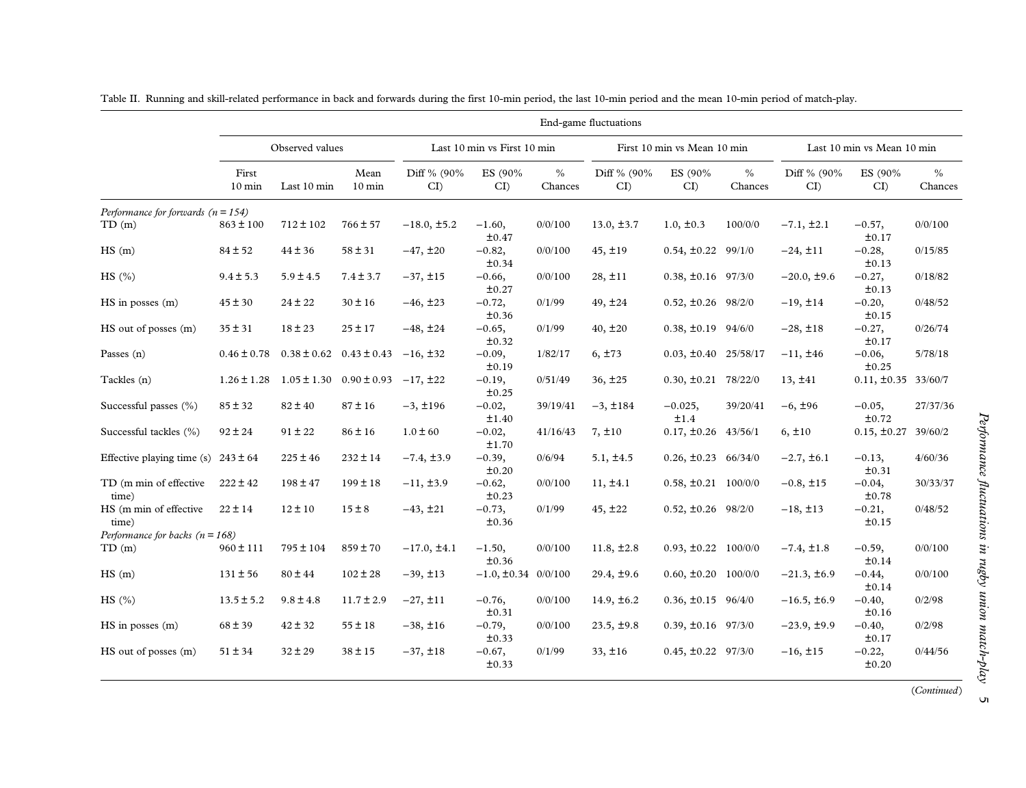|                                         |                           |                                               |                          |                   |                             |                 | End-game fluctuations |                             |                 |                   |                            |                 |
|-----------------------------------------|---------------------------|-----------------------------------------------|--------------------------|-------------------|-----------------------------|-----------------|-----------------------|-----------------------------|-----------------|-------------------|----------------------------|-----------------|
|                                         |                           | Observed values                               |                          |                   | Last 10 min vs First 10 min |                 |                       | First 10 min vs Mean 10 min |                 |                   | Last 10 min vs Mean 10 min |                 |
|                                         | First<br>$10 \text{ min}$ | Last 10 min                                   | Mean<br>$10 \text{ min}$ | Diff % (90%<br>CI | ES (90%<br>CI               | $\%$<br>Chances | Diff % (90%<br>CI     | ES (90%<br>CI               | $\%$<br>Chances | Diff % (90%<br>CI | ES (90%)<br>CI             | $\%$<br>Chances |
| Performance for forwards $(n = 154)$    |                           |                                               |                          |                   |                             |                 |                       |                             |                 |                   |                            |                 |
| TD(m)                                   | $863 \pm 100$             | $712 \pm 102$                                 | $766 \pm 57$             | $-18.0, \pm 5.2$  | $-1.60,$<br>±0.47           | 0/0/100         | $13.0, \pm 3.7$       | $1.0, \pm 0.3$              | 100/0/0         | $-7.1, \pm 2.1$   | $-0.57,$<br>±0.17          | 0/0/100         |
| HS(m)                                   | $84 \pm 52$               | $44 \pm 36$                                   | $58 \pm 31$              | $-47, \pm 20$     | $-0.82,$<br>±0.34           | 0/0/100         | 45, ±19               | $0.54, \pm 0.22$ 99/1/0     |                 | $-24, \pm 11$     | $-0.28,$<br>±0.13          | 0/15/85         |
| HS(%)                                   | $9.4 \pm 5.3$             | $5.9 \pm 4.5$                                 | $7.4 \pm 3.7$            | $-37, \pm 15$     | $-0.66,$<br>±0.27           | 0/0/100         | $28, \pm 11$          | $0.38, \pm 0.16$ 97/3/0     |                 | $-20.0, \pm 9.6$  | $-0.27,$<br>±0.13          | 0/18/82         |
| $HS$ in posses $(m)$                    | $45 \pm 30$               | $24 \pm 22$                                   | $30 \pm 16$              | $-46, \pm 23$     | $-0.72,$<br>±0.36           | 0/1/99          | $49, \pm 24$          | $0.52, \pm 0.26$ 98/2/0     |                 | $-19, \pm 14$     | $-0.20,$<br>±0.15          | 0/48/52         |
| HS out of posses (m)                    | $35 \pm 31$               | $18 \pm 23$                                   | $25 \pm 17$              | $-48, \pm 24$     | $-0.65,$<br>±0.32           | 0/1/99          | $40, \pm 20$          | $0.38, \pm 0.19$ 94/6/0     |                 | $-28, \pm 18$     | $-0.27,$<br>±0.17          | 0/26/74         |
| Passes $(n)$                            | $0.46 \pm 0.78$           | $0.38 \pm 0.62$                               | $0.43 \pm 0.43$          | $-16, \pm 32$     | $-0.09,$<br>±0.19           | 1/82/17         | $6, \pm 73$           | $0.03, \pm 0.40$ 25/58/17   |                 | $-11, \pm 46$     | $-0.06,$<br>±0.25          | 5/78/18         |
| Tackles (n)                             | $1.26 \pm 1.28$           | $1.05 \pm 1.30$ $0.90 \pm 0.93$ $-17, \pm 22$ |                          |                   | $-0.19,$<br>±0.25           | 0/51/49         | 36, ±25               | $0.30, \pm 0.21$ 78/22/0    |                 | 13, ±41           | $0.11, \pm 0.35$ 33/60/7   |                 |
| Successful passes (%)                   | $85 \pm 32$               | $82 \pm 40$                                   | $87 \pm 16$              | $-3, \pm 196$     | $-0.02,$<br>±1.40           | 39/19/41        | $-3, \pm 184$         | $-0.025,$<br>±1.4           | 39/20/41        | $-6, \pm 96$      | $-0.05,$<br>±0.72          | 27/37/36        |
| Successful tackles (%)                  | $92 \pm 24$               | $91 \pm 22$                                   | $86 \pm 16$              | $1.0 \pm 60$      | $-0.02,$<br>±1.70           | 41/16/43        | 7, ±10                | $0.17, \pm 0.26$ 43/56/1    |                 | 6, ±10            | $0.15, \pm 0.27$ 39/60/2   |                 |
| Effective playing time (s) $243 \pm 64$ |                           | $225 \pm 46$                                  | $232 \pm 14$             | $-7.4, \pm 3.9$   | $-0.39,$<br>±0.20           | 0/6/94          | $5.1, \pm 4.5$        | $0.26, \pm 0.23$ 66/34/0    |                 | $-2.7, \pm 6.1$   | $-0.13,$<br>±0.31          | 4/60/36         |
| TD (m min of effective<br>time)         | $222 \pm 42$              | $198 \pm 47$                                  | $199 \pm 18$             | $-11, \pm 3.9$    | $-0.62,$<br>±0.23           | 0/0/100         | 11, ±4.1              | $0.58, \pm 0.21$ 100/0/0    |                 | $-0.8, \pm 15$    | $-0.04,$<br>±0.78          | 30/33/37        |
| HS (m min of effective<br>time)         | $22 \pm 14$               | $12 \pm 10$                                   | $15 \pm 8$               | $-43, \pm 21$     | $-0.73,$<br>±0.36           | 0/1/99          | $45, \pm 22$          | $0.52, \pm 0.26$ 98/2/0     |                 | $-18, \pm 13$     | $-0.21,$<br>±0.15          | 0/48/52         |
| Performance for backs ( $n = 168$ )     |                           |                                               |                          |                   |                             |                 |                       |                             |                 |                   |                            |                 |
| TD(m)                                   | $960 \pm 111$             | $795 \pm 104$                                 | $859 \pm 70$             | $-17.0, \pm 4.1$  | $-1.50,$<br>±0.36           | 0/0/100         | $11.8, \pm 2.8$       | $0.93, \pm 0.22$ 100/0/0    |                 | $-7.4, \pm 1.8$   | $-0.59,$<br>±0.14          | 0/0/100         |
| HS(m)                                   | $131 \pm 56$              | $80 \pm 44$                                   | $102 \pm 28$             | $-39, \pm 13$     | $-1.0, \pm 0.34$ 0/0/100    |                 | $29.4, \pm 9.6$       | $0.60, \pm 0.20$ 100/0/0    |                 | $-21.3, \pm 6.9$  | $-0.44,$<br>$\pm 0.14$     | 0/0/100         |
| HS (%)                                  | $13.5 \pm 5.2$            | $9.8 \pm 4.8$                                 | $11.7 \pm 2.9$           | $-27, \pm 11$     | $-0.76,$<br>±0.31           | 0/0/100         | $14.9, \pm 6.2$       | $0.36, \pm 0.15$ 96/4/0     |                 | $-16.5, \pm 6.9$  | $-0.40,$<br>±0.16          | 0/2/98          |
| $HS$ in posses $(m)$                    | $68 \pm 39$               | $42 \pm 32$                                   | $55 \pm 18$              | $-38, \pm 16$     | $-0.79,$<br>±0.33           | 0/0/100         | $23.5, \pm 9.8$       | $0.39, \pm 0.16$ 97/3/0     |                 | $-23.9, \pm 9.9$  | $-0.40,$<br>±0.17          | 0/2/98          |
| HS out of posses (m)                    | $51 \pm 34$               | $32 \pm 29$                                   | $38 \pm 15$              | $-37, \pm 18$     | $-0.67,$<br>±0.33           | 0/1/99          | 33, ±16               | $0.45, \pm 0.22$ 97/3/0     |                 | $-16, \pm 15$     | $-0.22,$<br>±0.20          | 0/44/56         |

<span id="page-6-0"></span>Table II. Running and skill-related performance in back and forwards during the first 10-min period, the last 10-min period and the mean 10-min period of match-play.

 $\overline{5}$ 

(Continued)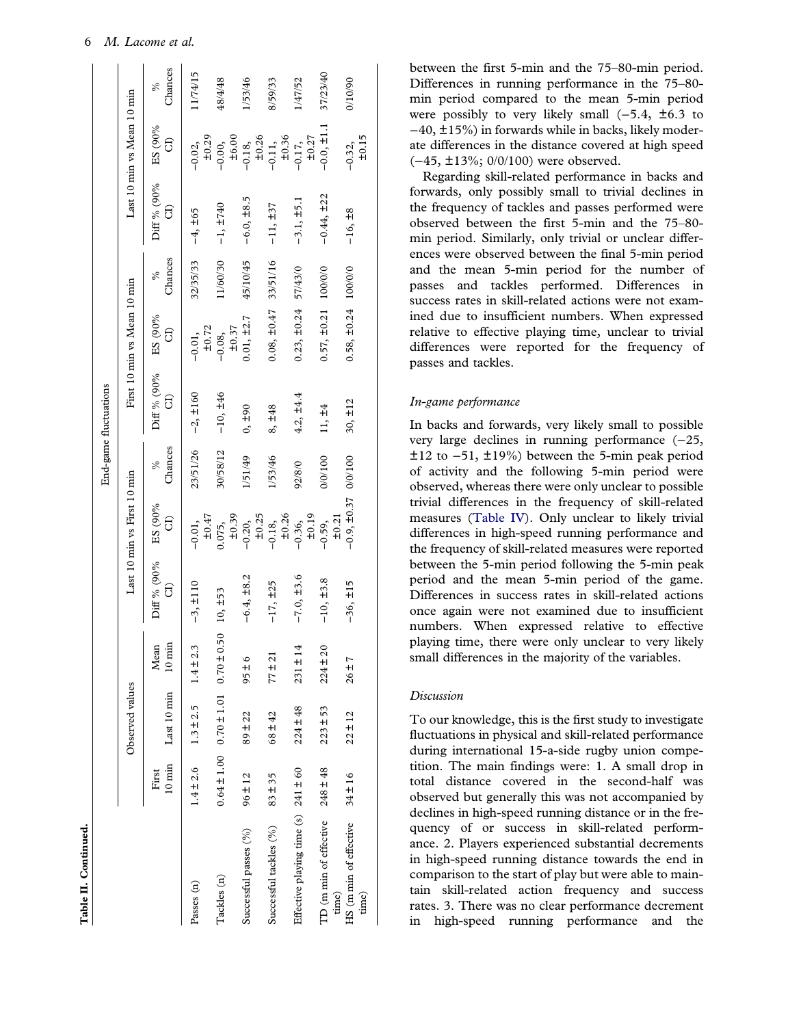|                                         |               |                                              |                          |                  |                             |              | End-game fluctuations |                             |              |                   |                                   |              |
|-----------------------------------------|---------------|----------------------------------------------|--------------------------|------------------|-----------------------------|--------------|-----------------------|-----------------------------|--------------|-------------------|-----------------------------------|--------------|
|                                         |               | Observed values                              |                          |                  | Last 10 min vs First 10 min |              |                       | First 10 min vs Mean 10 min |              |                   | Last 10 min vs Mean 10 min        |              |
|                                         | First         | 10 min Last 10 min                           | $10 \text{ min}$<br>Mean | Diff % (90%<br>G | ES (90%<br>G                | Chances<br>℅ | Diff % (90%<br>සි     | ES (90%<br>G                | Chances<br>ళ | Diff % (90%<br>සි | ES (90%<br>G                      | Chances<br>℅ |
| Passes (n)                              | $1.4 \pm 2.6$ | $1.3 \pm 2.5$                                | $1.4 \pm 2.3$            | $-3, \pm 110$    | $\pm 0.47$<br>$-0.01,$      | 23/51/26     | $-2, \pm 160$         | ±0.72<br>$-0.01,$           | 32/35/33     | $-4, \pm 65$      | ±0.29<br>$-0.02,$                 | 1/74/15      |
| Tackles (n)                             |               | $0.64 \pm 1.00$ $0.70 \pm 1.01$ $0.70 \pm 0$ | .50                      | $10, \pm 53$     | ±0.39<br>0.75,              | 30/58/12     | $-10, \pm 46$         | $-0.08,$<br>$\pm 0.37$      | 1/60/30      | $-1, ±740$        | $-0.00,$<br>$\pm 6.00$            | 48/4/48      |
| Successful passes (%)                   | $96 \pm 12$   | $89 \pm 22$                                  | $95 \pm 6$               | $-6.4, \pm 8.2$  | $-0.20,$<br>$\pm 0.25$      | 1/51/49      | $0, \pm 90$           | $0.01, \pm 2.7$             | 45/10/45     | $-6.0, \pm 8.5$   | $-0.18$ ,<br>$+0.26$<br>$-0.11$ , | 153/46       |
| Successful tackles (%)                  | $83 + 35$     | $68 \pm 42$                                  | $77 \pm 21$              | $-17, \pm 25$    | $-0.18$ ,<br>$\pm 0.26$     | 153/46       | 8, ±48                | $0.08, \pm 0.47$            | 33/51/16     | $-11, ±37$        | ±0.36                             | 8/59/33      |
| Effective playing time (s) $241 \pm 60$ |               | $224 \pm 48$                                 | $231 \pm 14$             | $-7.0, \pm 3.6$  | ±0.19<br>$-0.36,$           | 92/8/0       | $4.2, \pm 4.4$        | $0.23, \pm 0.24$            | 57/43/0      | $-3.1, \pm 5.1$   | ±0.27<br>$-0.17,$                 | 147/52       |
| TD (m min of effective<br>time)         | $248 \pm 48$  | $223 \pm 53$                                 | $224 \pm 20$             | $-10, \pm 3.8$   | ±0.21<br>$-0.59,$           | 0/0/100      | 11, ±4                | $0.57, \pm 0.21$            | 100/0/0      | $-0.44, \pm 22$   | $-0.0, \pm 1.1$                   | 37/23/40     |
| HS (m min of effective                  | $34 \pm 16$   | $22 \pm 12$                                  | $26 + 7$                 | $-36, \pm 15$    | $-0.9, \pm 0.37$            | 0/0/100      | $30, \pm 12$          | $0.58, \pm 0.24$            | 100/0/0      | $-16, \pm 8$      | $-0.32,$                          | 06/01/0      |

Table II. Continued.

Table II. Continued.

between the first 5-min and the 75–80-min period. Differences in running performance in the 75–80 min period compared to the mean 5-min period were possibly to very likely small  $(-5.4, \pm 6.3)$  to −40, ±15%) in forwards while in backs, likely moderate differences in the distance covered at high speed (−45, ±13%; 0/0/100) were observed.

Regarding skill-related performance in backs and forwards, only possibly small to trivial declines in the frequency of tackles and passes performed were observed between the first 5-min and the 75–80 min period. Similarly, only trivial or unclear differences were observed between the final 5-min period and the mean 5-min period for the number of passes and tackles performed. Differences in success rates in skill-related actions were not examined due to insufficient numbers. When expressed relative to effective playing time, unclear to trivial differences were reported for the frequency of passes and tackles.

#### In-game performance

In backs and forwards, very likely small to possible very large declines in running performance (−25, ±12 to −51, ±19%) between the 5-min peak period of activity and the following 5-min period were observed, whereas there were only unclear to possible trivial differences in the frequency of skill-related measures [\(Table IV\)](#page-10-0). Only unclear to likely trivial differences in high-speed running performance and the frequency of skill-related measures were reported between the 5-min period following the 5-min peak period and the mean 5-min period of the game. Differences in success rates in skill-related actions once again were not examined due to insufficient numbers. When expressed relative to effective playing time, there were only unclear to very likely small differences in the majority of the variables.

#### Discussion

time)

±0.15

To our knowledge, this is the first study to investigate fluctuations in physical and skill-related performance during international 15-a-side rugby union competition. The main findings were: 1. A small drop in total distance covered in the second-half was observed but generally this was not accompanied by declines in high-speed running distance or in the frequency of or success in skill-related performance. 2. Players experienced substantial decrements in high-speed running distance towards the end in comparison to the start of play but were able to maintain skill-related action frequency and success rates. 3. There was no clear performance decrement in high-speed running performance and the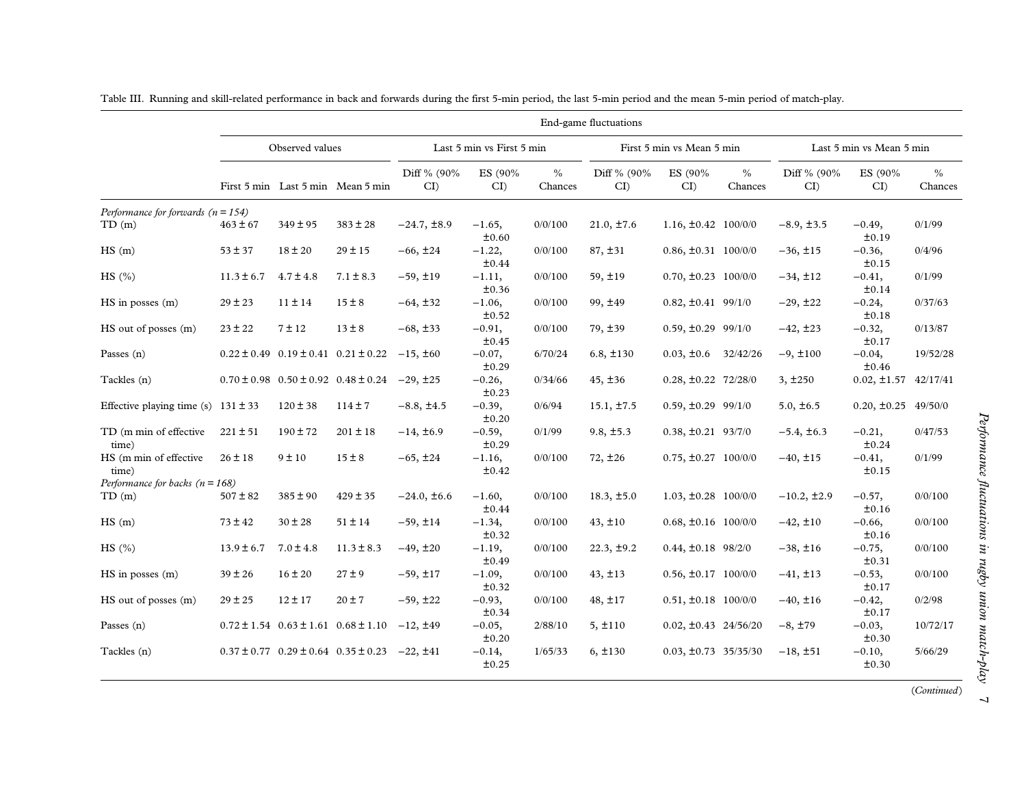|                                         |                |                 |                                                 |                   |                           |                          | End-game fluctuations |                           |                 |                   |                           |                 |
|-----------------------------------------|----------------|-----------------|-------------------------------------------------|-------------------|---------------------------|--------------------------|-----------------------|---------------------------|-----------------|-------------------|---------------------------|-----------------|
|                                         |                | Observed values |                                                 |                   | Last 5 min vs First 5 min |                          |                       | First 5 min vs Mean 5 min |                 |                   | Last 5 min vs Mean 5 min  |                 |
|                                         |                |                 | First 5 min Last 5 min Mean 5 min               | Diff % (90%<br>CI | ES (90%<br>CI             | $\frac{0}{0}$<br>Chances | Diff % (90%<br>CI     | ES (90%<br>CI             | $\%$<br>Chances | Diff % (90%<br>CI | ES (90%<br>CI             | $\%$<br>Chances |
| Performance for forwards ( $n = 154$ )  |                |                 |                                                 |                   |                           |                          |                       |                           |                 |                   |                           |                 |
| TD(m)                                   | $463 \pm 67$   | $349 \pm 95$    | $383 \pm 28$                                    | $-24.7, \pm 8.9$  | $-1.65,$<br>±0.60         | 0/0/100                  | $21.0, \pm 7.6$       | $1.16, \pm 0.42$ 100/0/0  |                 | $-8.9, \pm 3.5$   | $-0.49,$<br>±0.19         | 0/1/99          |
| HS(m)                                   | $53 \pm 37$    | $18 \pm 20$     | $29 \pm 15$                                     | $-66, \pm 24$     | $-1.22,$<br>±0.44         | 0/0/100                  | 87, ±31               | $0.86, \pm 0.31$ 100/0/0  |                 | $-36, \pm 15$     | $-0.36,$<br>±0.15         | 0/4/96          |
| HS(%)                                   | $11.3 \pm 6.7$ | $4.7 \pm 4.8$   | $7.1 \pm 8.3$                                   | $-59, \pm 19$     | $-1.11,$<br>±0.36         | 0/0/100                  | $59, \pm 19$          | $0.70, \pm 0.23$ 100/0/0  |                 | $-34, \pm 12$     | $-0.41,$<br>±0.14         | 0/1/99          |
| $HS$ in posses $(m)$                    | $29 \pm 23$    | $11 \pm 14$     | $15 \pm 8$                                      | $-64, \pm 32$     | $-1.06,$<br>±0.52         | 0/0/100                  | 99, ±49               | $0.82, \pm 0.41$ 99/1/0   |                 | $-29, \pm 22$     | $-0.24,$<br>±0.18         | 0/37/63         |
| HS out of posses (m)                    | $23 \pm 22$    | $7 \pm 12$      | $13 \pm 8$                                      | $-68, \pm 33$     | $-0.91,$<br>±0.45         | 0/0/100                  | 79, ±39               | $0.59, \pm 0.29$ 99/1/0   |                 | $-42, \pm 23$     | $-0.32,$<br>±0.17         | 0/13/87         |
| Passes $(n)$                            |                |                 | $0.22 \pm 0.49$ $0.19 \pm 0.41$ $0.21 \pm 0.22$ | $-15, \pm 60$     | $-0.07,$<br>±0.29         | 6/70/24                  | $6.8, \pm 130$        | $0.03, \pm 0.6$           | 32/42/26        | $-9, \pm 100$     | $-0.04,$<br>±0.46         | 19/52/28        |
| Tackles (n)                             |                |                 | $0.70 \pm 0.98$ $0.50 \pm 0.92$ $0.48 \pm 0.24$ | $-29, \pm 25$     | $-0.26,$<br>±0.23         | 0/34/66                  | 45, ±36               | $0.28, \pm 0.22$ 72/28/0  |                 | 3, ±250           | $0.02, \pm 1.57$ 42/17/41 |                 |
| Effective playing time (s) $131 \pm 33$ |                | $120 \pm 38$    | $114 \pm 7$                                     | $-8.8, \pm 4.5$   | $-0.39,$<br>±0.20         | 0/6/94                   | $15.1, \pm 7.5$       | $0.59, \pm 0.29$ 99/1/0   |                 | $5.0, \pm 6.5$    | $0.20, \pm 0.25$ 49/50/0  |                 |
| TD (m min of effective<br>time)         | $221 \pm 51$   | $190 \pm 72$    | $201 \pm 18$                                    | $-14, \pm 6.9$    | $-0.59,$<br>±0.29         | 0/1/99                   | $9.8, \pm 5.3$        | $0.38, \pm 0.21$ 93/7/0   |                 | $-5.4, \pm 6.3$   | $-0.21,$<br>±0.24         | 0/47/53         |
| HS (m min of effective<br>time)         | $26 \pm 18$    | 9 ± 10          | $15 \pm 8$                                      | $-65, \pm 24$     | $-1.16,$<br>±0.42         | 0/0/100                  | $72, \pm 26$          | $0.75, \pm 0.27$ 100/0/0  |                 | $-40, \pm 15$     | $-0.41,$<br>±0.15         | 0/1/99          |
| Performance for backs ( $n = 168$ )     |                |                 |                                                 |                   |                           |                          |                       |                           |                 |                   |                           |                 |
| TD(m)                                   | $507 \pm 82$   | $385 \pm 90$    | $429 \pm 35$                                    | $-24.0, \pm 6.6$  | $-1.60,$<br>±0.44         | 0/0/100                  | $18.3, \pm 5.0$       | $1.03, \pm 0.28$ 100/0/0  |                 | $-10.2, \pm 2.9$  | $-0.57,$<br>±0.16         | 0/0/100         |
| HS(m)                                   | $73 \pm 42$    | $30 \pm 28$     | $51 \pm 14$                                     | $-59, \pm 14$     | $-1.34,$<br>$\pm 0.32$    | 0/0/100                  | $43, \pm 10$          | $0.68, \pm 0.16$ 100/0/0  |                 | $-42, \pm 10$     | $-0.66,$<br>±0.16         | 0/0/100         |
| HS(%)                                   | $13.9 \pm 6.7$ | $7.0 \pm 4.8$   | $11.3 \pm 8.3$                                  | $-49, \pm 20$     | $-1.19,$<br>±0.49         | 0/0/100                  | $22.3, \pm 9.2$       | $0.44, \pm 0.18$ 98/2/0   |                 | $-38, \pm 16$     | $-0.75,$<br>±0.31         | 0/0/100         |
| $HS$ in posses $(m)$                    | $39 \pm 26$    | $16 \pm 20$     | $27 \pm 9$                                      | $-59, \pm 17$     | $-1.09,$<br>$\pm 0.32$    | 0/0/100                  | $43, \pm 13$          | $0.56, \pm 0.17$ 100/0/0  |                 | $-41, \pm 13$     | $-0.53,$<br>±0.17         | 0/0/100         |
| HS out of posses (m)                    | $29 \pm 25$    | $12 \pm 17$     | $20 \pm 7$                                      | $-59, \pm 22$     | $-0.93,$<br>±0.34         | 0/0/100                  | $48, \pm 17$          | $0.51, \pm 0.18$ 100/0/0  |                 | $-40, \pm 16$     | $-0.42,$<br>±0.17         | 0/2/98          |
| Passes $(n)$                            |                |                 | $0.72 \pm 1.54$ $0.63 \pm 1.61$ $0.68 \pm 1.10$ | $-12, \pm 49$     | $-0.05,$<br>±0.20         | 2/88/10                  | 5, ±110               | $0.02, \pm 0.43$ 24/56/20 |                 | $-8, \pm 79$      | $-0.03,$<br>±0.30         | 10/72/17        |
| Tackles (n)                             |                |                 | $0.37 \pm 0.77$ $0.29 \pm 0.64$ $0.35 \pm 0.23$ | $-22, \pm 41$     | $-0.14,$<br>±0.25         | 1/65/33                  | $6, \pm 130$          | $0.03, \pm 0.73$ 35/35/30 |                 | $-18, \pm 51$     | $-0.10,$<br>±0.30         | 5/66/29         |

<span id="page-8-0"></span>

| Table III. |  |  | . Running and skill-related performance in back and forwards during the first 5-min period, the last 5-min period and the mean 5-min period of match-play. |  |
|------------|--|--|------------------------------------------------------------------------------------------------------------------------------------------------------------|--|
|            |  |  |                                                                                                                                                            |  |

(Continued)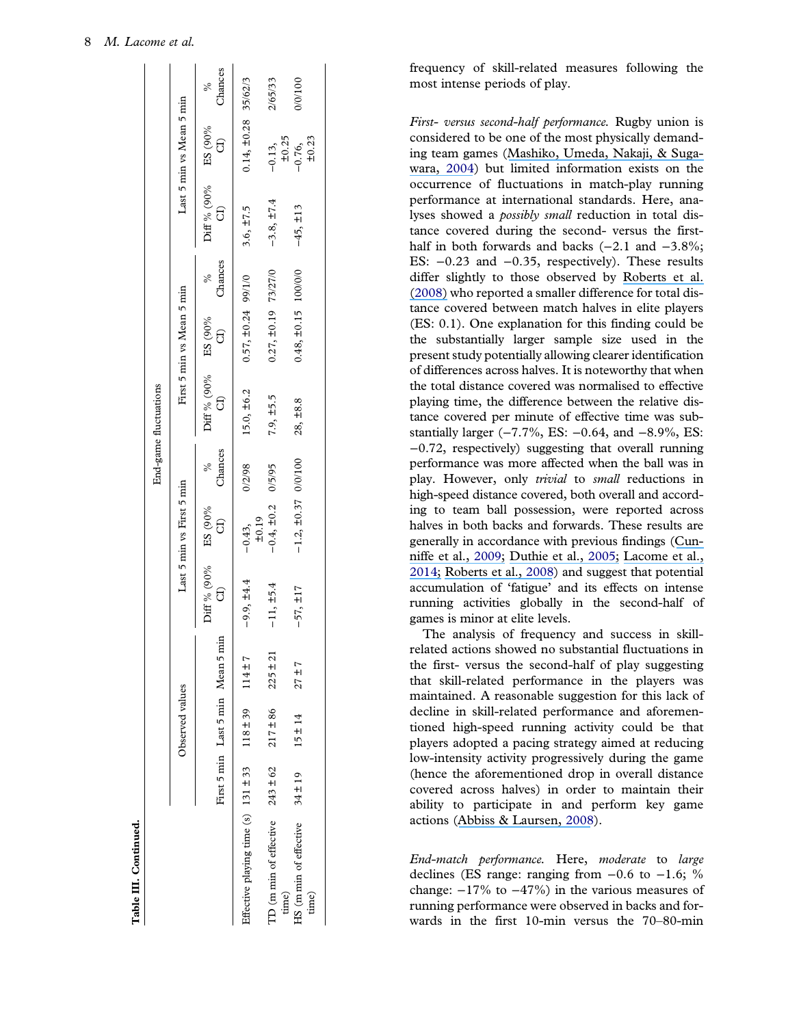Table III. Continued.

Table III. Continued.

<span id="page-9-0"></span>

|                                              |                                   |              |                                      |                           |         | End-game fluctuations                                         |                           |         |                                      |                                                    |                 |
|----------------------------------------------|-----------------------------------|--------------|--------------------------------------|---------------------------|---------|---------------------------------------------------------------|---------------------------|---------|--------------------------------------|----------------------------------------------------|-----------------|
|                                              | Observed values                   |              |                                      | Last 5 min vs First 5 min |         |                                                               | First 5 min vs Mean 5 min |         |                                      | Last 5 min vs Mean 5 min                           |                 |
|                                              | First 5 min Last 5 min Mean 5 mir |              | Diff % (90% ES (90%<br>$\frac{1}{2}$ | $\overline{d}$            | Chances | Diff % (90% ES (90%<br>$\begin{bmatrix} 1 \\ 0 \end{bmatrix}$ | $\theta$                  | Chances | Diff % (90% ES (90%<br>$\frac{1}{2}$ | $\begin{bmatrix} 1 \\ 2 \end{bmatrix}$             | Chances<br>$\%$ |
| Effective playing time $(s)$ 131 $\pm$ 33    | $118 \pm 39$                      | $114 \pm 7$  | $-9.9, \pm 4.4$                      | $-0.43$ ,<br>$\pm 0.19$   | 0/2/98  | $15.0, \pm 6.2$                                               | $0.57, \pm 0.24$ 99/1/0   |         | $3.6, \pm 7.5$                       | $0.14, \pm 0.28$ 35/62/3                           |                 |
| TD (m min of effective $243 \pm 62$<br>time) | $217 + 86$                        | $225 \pm 21$ | $-11, \pm 5.4$                       | $-0.4, \pm 0.2$           | 0/5/95  | $7.9, \pm 5.5$                                                | $0.27, \pm 0.19$ 73/27/0  |         | $-3.8, \pm 7.4$                      |                                                    | 2/65/33         |
| HS (m min of effective $34 \pm 19$<br>time)  | $15 \pm 14$                       | $27 + 7$     | $-57, \pm 17$                        | $-1.2, \pm 0.37$ 0/0/100  |         | 28, ±8.8                                                      | $0.48, \pm 0.15$ 100/0/0  |         | $-45, \pm 13$                        | $-0.13$ ,<br>$\pm 0.25$<br>$-0.76$ ,<br>$\pm 0.23$ | 001100          |
|                                              |                                   |              |                                      |                           |         |                                                               |                           |         |                                      |                                                    |                 |

frequency of skill-related measures following the most intense periods of play.

First- versus second-half performance. Rugby union is considered to be one of the most physically demanding team games ([Mashiko, Umeda, Nakaji, & Suga](https://www.researchgate.net/publication/8325799_Position_related_analysis_of_the_appearance_of_and_relationship_between_post-match_physical_and_mental_fatigue_in_university_rugby_football_players?el=1_x_8&enrichId=rgreq-271e86af47155fd7972757495ca610ea-XXX&enrichSource=Y292ZXJQYWdlOzMwNzUxMTU1NztBUzo0Mjg0MTU1NTI2MjY2ODlAMTQ3OTE1MzYzNTA5Mw==)[wara,](https://www.researchgate.net/publication/8325799_Position_related_analysis_of_the_appearance_of_and_relationship_between_post-match_physical_and_mental_fatigue_in_university_rugby_football_players?el=1_x_8&enrichId=rgreq-271e86af47155fd7972757495ca610ea-XXX&enrichSource=Y292ZXJQYWdlOzMwNzUxMTU1NztBUzo0Mjg0MTU1NTI2MjY2ODlAMTQ3OTE1MzYzNTA5Mw==) [2004\)](#page-13-0) but limited information exists on the occurrence of fluctuations in match-play running performance at international standards. Here, analyses showed a *possibly small* reduction in total distance covered during the second- versus the firsthalf in both forwards and backs (−2.1 and −3.8%; ES: −0.23 and −0.35, respectively). These results differ slightly to those observed by [Roberts et al.](https://www.researchgate.net/publication/5286127_The_physical_demands_of_elite_English_rugby_union?el=1_x_8&enrichId=rgreq-271e86af47155fd7972757495ca610ea-XXX&enrichSource=Y292ZXJQYWdlOzMwNzUxMTU1NztBUzo0Mjg0MTU1NTI2MjY2ODlAMTQ3OTE1MzYzNTA5Mw==) [\(2](https://www.researchgate.net/publication/5286127_The_physical_demands_of_elite_English_rugby_union?el=1_x_8&enrichId=rgreq-271e86af47155fd7972757495ca610ea-XXX&enrichSource=Y292ZXJQYWdlOzMwNzUxMTU1NztBUzo0Mjg0MTU1NTI2MjY2ODlAMTQ3OTE1MzYzNTA5Mw==)[00](#page-13-0)[8\)](https://www.researchgate.net/publication/5286127_The_physical_demands_of_elite_English_rugby_union?el=1_x_8&enrichId=rgreq-271e86af47155fd7972757495ca610ea-XXX&enrichSource=Y292ZXJQYWdlOzMwNzUxMTU1NztBUzo0Mjg0MTU1NTI2MjY2ODlAMTQ3OTE1MzYzNTA5Mw==) who reported a smaller difference for total distance covered between match halves in elite players (ES: 0.1). One explanation for this finding could be the substantially larger sample size used in the present study potentially allowing clearer identification of differences across halves. It is noteworthy that when the total distance covered was normalised to effective playing time, the difference between the relative distance covered per minute of effective time was substantially larger (-7.7%, ES: -0.64, and -8.9%, ES: −0.72, respectively) suggesting that overall running performance was more affected when the ball was in play. However, only trivial to small reductions in high-speed distance covered, both overall and according to team ball possession, were reported across halves in both backs and forwards. These results are generally in accordance with previous findings ([Cun](https://www.researchgate.net/publication/26294248_An_Evaluation_of_the_Physiological_Demands_of_Elite_Rugby_Union_Using_Global_Positioning_System_Tracking_Software?el=1_x_8&enrichId=rgreq-271e86af47155fd7972757495ca610ea-XXX&enrichSource=Y292ZXJQYWdlOzMwNzUxMTU1NztBUzo0Mjg0MTU1NTI2MjY2ODlAMTQ3OTE1MzYzNTA5Mw==)[niffe et al.,](https://www.researchgate.net/publication/26294248_An_Evaluation_of_the_Physiological_Demands_of_Elite_Rugby_Union_Using_Global_Positioning_System_Tracking_Software?el=1_x_8&enrichId=rgreq-271e86af47155fd7972757495ca610ea-XXX&enrichSource=Y292ZXJQYWdlOzMwNzUxMTU1NztBUzo0Mjg0MTU1NTI2MjY2ODlAMTQ3OTE1MzYzNTA5Mw==) [2009;](#page-13-0) [Duthie et al.,](https://www.researchgate.net/publication/7570069_Time_motion_analysis_of_2001_and_2002_super_12_rugby?el=1_x_8&enrichId=rgreq-271e86af47155fd7972757495ca610ea-XXX&enrichSource=Y292ZXJQYWdlOzMwNzUxMTU1NztBUzo0Mjg0MTU1NTI2MjY2ODlAMTQ3OTE1MzYzNTA5Mw==) [2005](#page-13-0); [Lacome et al.,](https://www.researchgate.net/publication/256478620_A_new_approach_to_quantifying_physical_demand_in_rugby_union?el=1_x_8&enrichId=rgreq-271e86af47155fd7972757495ca610ea-XXX&enrichSource=Y292ZXJQYWdlOzMwNzUxMTU1NztBUzo0Mjg0MTU1NTI2MjY2ODlAMTQ3OTE1MzYzNTA5Mw==) [201](#page-13-0)[4;](https://www.researchgate.net/publication/256478620_A_new_approach_to_quantifying_physical_demand_in_rugby_union?el=1_x_8&enrichId=rgreq-271e86af47155fd7972757495ca610ea-XXX&enrichSource=Y292ZXJQYWdlOzMwNzUxMTU1NztBUzo0Mjg0MTU1NTI2MjY2ODlAMTQ3OTE1MzYzNTA5Mw==) [Roberts et al.,](https://www.researchgate.net/publication/5286127_The_physical_demands_of_elite_English_rugby_union?el=1_x_8&enrichId=rgreq-271e86af47155fd7972757495ca610ea-XXX&enrichSource=Y292ZXJQYWdlOzMwNzUxMTU1NztBUzo0Mjg0MTU1NTI2MjY2ODlAMTQ3OTE1MzYzNTA5Mw==) [2008](#page-13-0)) and suggest that potential accumulation of 'fatigue ' and its effects on intense running activities globally in the second-half of games is minor at elite levels.

The analysis of frequency and success in skillrelated actions showed no substantial fluctuations in the first- versus the second-half of play suggesting that skill-related performance in the players was maintained. A reasonable suggestion for this lack of decline in skill-related performance and aforementioned high-speed running activity could be that players adopted a pacing strategy aimed at reducing low-intensity activity progressively during the game (hence the aforementioned drop in overall distance covered across halves) in order to maintain their ability to participate in and perform key game actions ([Abbiss & Laursen,](https://www.researchgate.net/publication/5573108_Describing_and_Understanding_Pacing_Strategies_during_Athletic_Competition?el=1_x_8&enrichId=rgreq-271e86af47155fd7972757495ca610ea-XXX&enrichSource=Y292ZXJQYWdlOzMwNzUxMTU1NztBUzo0Mjg0MTU1NTI2MjY2ODlAMTQ3OTE1MzYzNTA5Mw==) [2008](#page-12-0)).

End-match performance. Here, moderate to large declines (ES range: ranging from  $-0.6$  to  $-1.6$ ; % change:  $-17\%$  to  $-47\%$ ) in the various measures of running performance were observed in backs and forwards in the first 10-min versus the 70 –80-min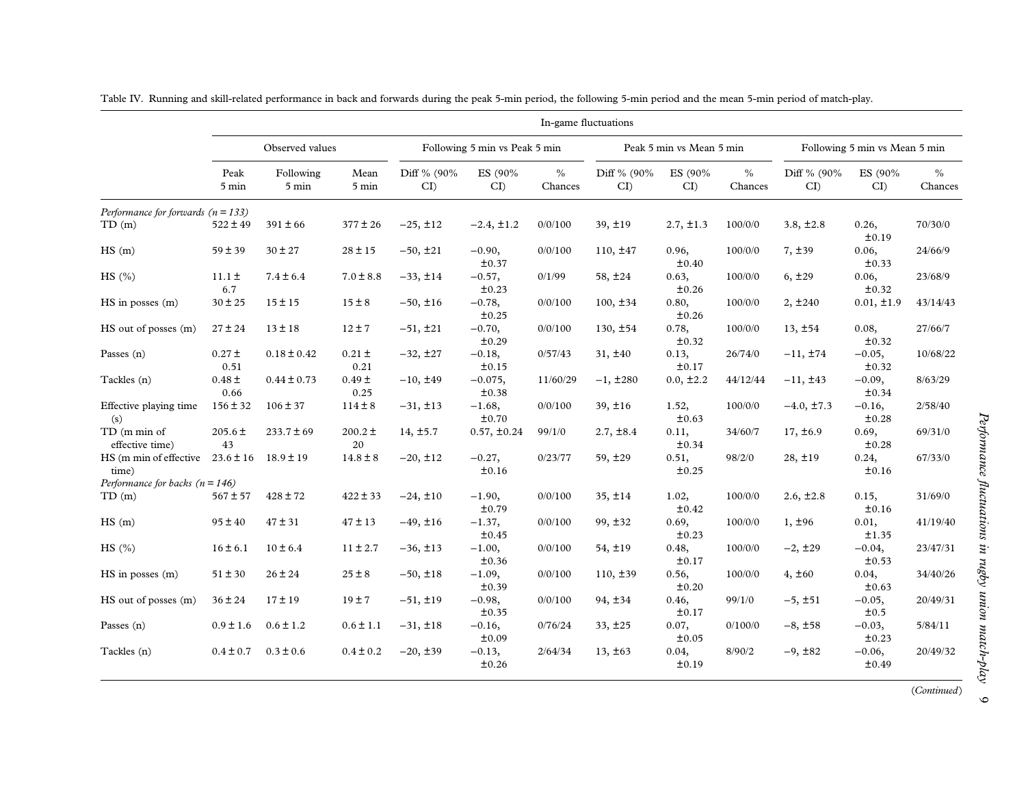|                                                             |                    |                    |                    |                   |                               |                 | In-game fluctuations |                          |                 |                   |                               |                 |
|-------------------------------------------------------------|--------------------|--------------------|--------------------|-------------------|-------------------------------|-----------------|----------------------|--------------------------|-----------------|-------------------|-------------------------------|-----------------|
|                                                             |                    | Observed values    |                    |                   | Following 5 min vs Peak 5 min |                 |                      | Peak 5 min vs Mean 5 min |                 |                   | Following 5 min vs Mean 5 min |                 |
|                                                             | Peak<br>5 min      | Following<br>5 min | Mean<br>5 min      | Diff % (90%<br>CI | ES (90%<br>CI                 | $\%$<br>Chances | Diff % (90%<br>CI    | ES (90%<br>CI            | $\%$<br>Chances | Diff % (90%<br>CI | ES (90%<br>CI                 | $\%$<br>Chances |
| Performance for forwards $(n = 133)$                        |                    |                    |                    |                   |                               |                 |                      |                          |                 |                   |                               |                 |
| TD(m)                                                       | $522 \pm 49$       | $391 \pm 66$       | $377 \pm 26$       | $-25, \pm 12$     | $-2.4, \pm 1.2$               | 0/0/100         | $39, \pm 19$         | $2.7, \pm 1.3$           | 100/0/0         | $3.8, \pm 2.8$    | 0.26,<br>±0.19                | 70/30/0         |
| HS(m)                                                       | $59 \pm 39$        | $30 \pm 27$        | $28 \pm 15$        | $-50, \pm 21$     | $-0.90,$<br>±0.37             | 0/0/100         | $110, \pm 47$        | 0.96,<br>±0.40           | 100/0/0         | 7, ±39            | 0.06,<br>±0.33                | 24/66/9         |
| HS(%)                                                       | $11.1 \pm$<br>6.7  | $7.4 \pm 6.4$      | $7.0 \pm 8.8$      | $-33, \pm 14$     | $-0.57,$<br>±0.23             | 0/1/99          | 58, ±24              | 0.63,<br>±0.26           | 100/0/0         | 6, ±29            | 0.06,<br>±0.32                | 23/68/9         |
| $HS$ in posses $(m)$                                        | $30 \pm 25$        | $15 \pm 15$        | $15 \pm 8$         | $-50, \pm 16$     | $-0.78,$<br>±0.25             | 0/0/100         | $100, \pm 34$        | 0.80,<br>±0.26           | 100/0/0         | 2, ±240           | $0.01, \pm 1.9$               | 43/14/43        |
| HS out of posses (m)                                        | $27 \pm 24$        | $13 \pm 18$        | $12 \pm 7$         | $-51, \pm 21$     | $-0.70,$<br>±0.29             | 0/0/100         | $130, \pm 54$        | 0.78,<br>±0.32           | 100/0/0         | 13, ±54           | 0.08,<br>±0.32                | 27/66/7         |
| Passes $(n)$                                                | $0.27 \pm$<br>0.51 | $0.18 \pm 0.42$    | $0.21 \pm$<br>0.21 | $-32, \pm 27$     | $-0.18,$<br>±0.15             | 0/57/43         | $31, \pm 40$         | 0.13,<br>±0.17           | 26/74/0         | $-11, \pm 74$     | $-0.05,$<br>±0.32             | 10/68/22        |
| Tackles (n)                                                 | $0.48 \pm$<br>0.66 | $0.44 \pm 0.73$    | $0.49 \pm$<br>0.25 | $-10, \pm 49$     | $-0.075,$<br>±0.38            | 11/60/29        | $-1, \pm 280$        | $0.0, \pm 2.2$           | 44/12/44        | $-11, \pm 43$     | $-0.09,$<br>±0.34             | 8/63/29         |
| Effective playing time<br>(s)                               | $156 \pm 32$       | $106 \pm 37$       | $114 \pm 8$        | $-31, \pm 13$     | $-1.68,$<br>±0.70             | 0/0/100         | $39, \pm 16$         | 1.52,<br>±0.63           | 100/0/0         | $-4.0, \pm 7.3$   | $-0.16,$<br>±0.28             | 2/58/40         |
| TD (m min of<br>effective time)                             | $205.6 \pm$<br>43  | $233.7 \pm 69$     | $200.2 \pm$<br>20  | $14, \pm 5.7$     | $0.57, \pm 0.24$              | 99/1/0          | $2.7, \pm 8.4$       | 0.11,<br>±0.34           | 34/60/7         | $17, \pm 6.9$     | 0.69,<br>±0.28                | 69/31/0         |
| HS (m min of effective $23.6 \pm 16$ 18.9 $\pm$ 19<br>time) |                    |                    | $14.8 \pm 8$       | $-20, \pm 12$     | $-0.27,$<br>±0.16             | 0/23/77         | $59, \pm 29$         | 0.51,<br>±0.25           | 98/2/0          | $28, \pm 19$      | 0.24,<br>±0.16                | 67/33/0         |
| Performance for backs ( $n = 146$ )                         |                    |                    |                    |                   |                               |                 |                      |                          |                 |                   |                               |                 |
| TD(m)                                                       | $567 \pm 57$       | $428 \pm 72$       | $422 \pm 33$       | $-24, \pm 10$     | $-1.90,$<br>±0.79             | 0/0/100         | 35, ±14              | 1.02,<br>±0.42           | 100/0/0         | $2.6, \pm 2.8$    | 0.15,<br>±0.16                | 31/69/0         |
| HS(m)                                                       | $95 \pm 40$        | $47\pm31$          | $47 \pm 13$        | $-49, \pm 16$     | $-1.37,$<br>±0.45             | 0/0/100         | $99, \pm 32$         | 0.69,<br>±0.23           | 100/0/0         | 1, ±96            | 0.01,<br>±1.35                | 41/19/40        |
| HS(%)                                                       | $16 \pm 6.1$       | $10 \pm 6.4$       | $11 \pm 2.7$       | $-36, \pm 13$     | $-1.00,$<br>±0.36             | 0/0/100         | $54, \pm 19$         | 0.48,<br>±0.17           | 100/0/0         | $-2, \pm 29$      | $-0.04,$<br>±0.53             | 23/47/31        |
| $HS$ in posses $(m)$                                        | $51 \pm 30$        | $26 \pm 24$        | $25 \pm 8$         | $-50, \pm 18$     | $-1.09,$<br>±0.39             | 0/0/100         | $110, \pm 39$        | 0.56,<br>±0.20           | 100/0/0         | 4, ±60            | 0.04,<br>±0.63                | 34/40/26        |
| HS out of posses (m)                                        | $36 \pm 24$        | $17 \pm 19$        | 19±7               | $-51, \pm 19$     | $-0.98,$<br>±0.35             | 0/0/100         | 94, ±34              | 0.46,<br>±0.17           | 99/1/0          | $-5, ±51$         | $-0.05,$<br>±0.5              | 20/49/31        |
| Passes (n)                                                  | $0.9 \pm 1.6$      | $0.6 \pm 1.2$      | $0.6 \pm 1.1$      | $-31, \pm 18$     | $-0.16,$<br>±0.09             | 0/76/24         | 33, ±25              | 0.07,<br>±0.05           | 0/100/0         | $-8, \pm 58$      | $-0.03,$<br>±0.23             | 5/84/11         |
| Tackles (n)                                                 | $0.4 \pm 0.7$      | $0.3 \pm 0.6$      | $0.4 \pm 0.2$      | $-20, \pm 39$     | $-0.13,$<br>±0.26             | 2/64/34         | 13, ±63              | 0.04,<br>±0.19           | 8/90/2          | $-9, \pm 82$      | $-0.06,$<br>±0.49             | 20/49/32        |

<span id="page-10-0"></span>Table IV. Running and skill-related performance in back and forwards during the peak 5-min period, the following 5-min period and the mean 5-min period of match-play.

(Continued)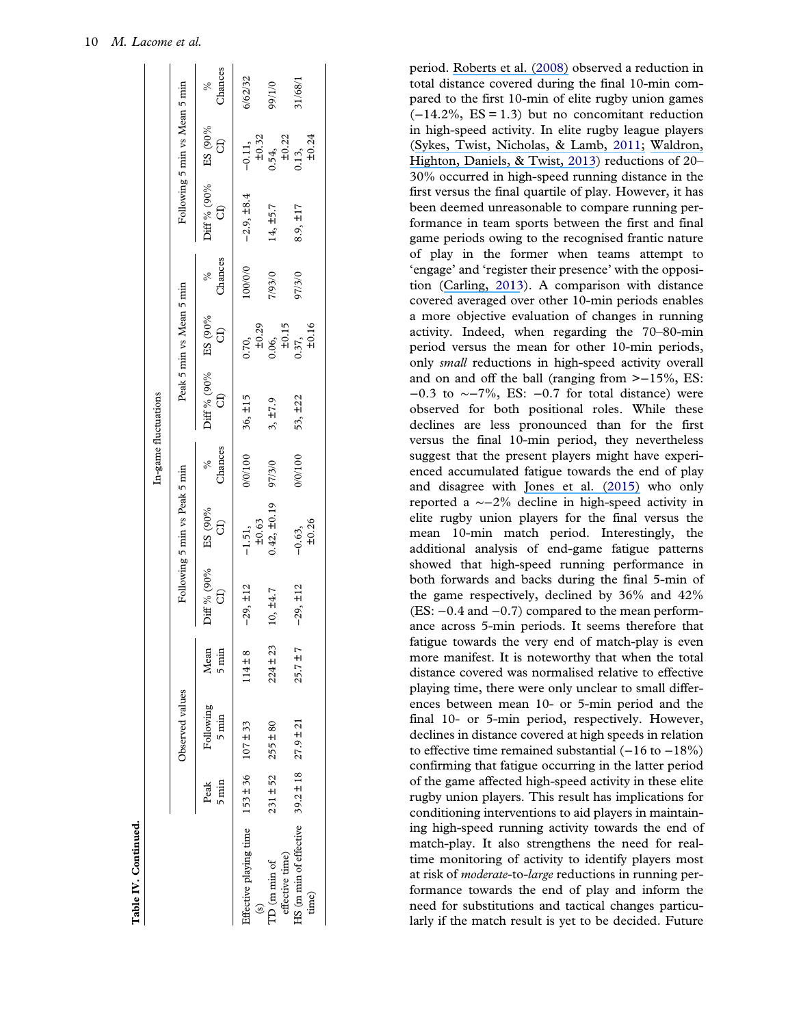Table IV. Continued.

Table IV. Continued.

<span id="page-11-0"></span>

|                                                             |                             |                              |                         |                  |                                          | In-game fluctuations |                         |                                                                            |         |                                                                       |                                                                               |           |
|-------------------------------------------------------------|-----------------------------|------------------------------|-------------------------|------------------|------------------------------------------|----------------------|-------------------------|----------------------------------------------------------------------------|---------|-----------------------------------------------------------------------|-------------------------------------------------------------------------------|-----------|
|                                                             |                             | Observed values              |                         |                  | Following 5 min vs Peak 5 min            |                      |                         | Peak 5 min vs Mean 5 min                                                   |         |                                                                       | Following 5 min vs Mean 5 min                                                 |           |
|                                                             | Peak<br>$5 \text{min}$      | Following<br>$5 \text{ min}$ | Mean<br>$5 \text{ min}$ | Diff % (90%<br>G | $\mathop{\mathrm{ES}}\nolimits$ (90% CI) | Chances<br>$\%$      | Diff % (90% BS (90% G)) |                                                                            | Chances | Diff % (90%<br>$\begin{array}{c}\n\text{d}\n\\ \text{d}\n\end{array}$ | $\mathop{\mathrm{ES}}\nolimits$ (90% GJ)                                      | % Chances |
| Effective playing time $153 \pm 36$ $107 \pm 33$<br>$\odot$ |                             |                              | $114 \pm 8$             | $-29, \pm 12$    | $-1.51,$<br>$\pm 0.63$                   | 0/0/100              | $36, \pm 15$            |                                                                            | 100/0/0 | $-2.9, \pm 8.4$                                                       |                                                                               | 6/62/32   |
| effective time)<br>$TD$ (m min of                           | $231 \pm 52$ $255 \pm 80$   |                              | $224 \pm 23$            | 10, ±4.7         | $0.42, \pm 0.19$                         | 97/3/0               | 3, ±7.9                 | $0.70,$<br>$\pm 0.29$<br>$0.06,$<br>$\pm 0.15$<br>$\pm 0.15$<br>$\pm 0.16$ | 0/66/1  | 14, ±5.7                                                              | $-0.11$ ,<br>$\pm 0.32$<br>$0.54$ ,<br>$\pm 0.22$<br>$\pm 0.24$<br>$\pm 0.24$ | 90/1/0    |
| HS (m min of effective<br>time)                             | $39.2 \pm 18$ $27.9 \pm 21$ |                              | $25.7 \pm 7$            | $-29, \pm 12$    | $-0.63$ ,<br>$\pm 0.26$                  | 0/0/100              | 53, ±22                 |                                                                            | 97/3/0  | $8.9, \pm 17$                                                         |                                                                               | 31/68/1   |
|                                                             |                             |                              |                         |                  |                                          |                      |                         |                                                                            |         |                                                                       |                                                                               |           |

period. [Roberts et al. \(](https://www.researchgate.net/publication/5286127_The_physical_demands_of_elite_English_rugby_union?el=1_x_8&enrichId=rgreq-271e86af47155fd7972757495ca610ea-XXX&enrichSource=Y292ZXJQYWdlOzMwNzUxMTU1NztBUzo0Mjg0MTU1NTI2MjY2ODlAMTQ3OTE1MzYzNTA5Mw==)[2008](#page-13-0)[\)](https://www.researchgate.net/publication/5286127_The_physical_demands_of_elite_English_rugby_union?el=1_x_8&enrichId=rgreq-271e86af47155fd7972757495ca610ea-XXX&enrichSource=Y292ZXJQYWdlOzMwNzUxMTU1NztBUzo0Mjg0MTU1NTI2MjY2ODlAMTQ3OTE1MzYzNTA5Mw==) observed a reduction in total distance covered during the final 10-min compared to the first 10-min of elite rugby union games  $(-14.2\%, ES = 1.3)$  but no concomitant reduction in high-speed activity. In elite rugby league players ([Sykes, Twist, Nicholas, & Lamb,](https://www.researchgate.net/publication/51546463_Changes_in_locomotive_rates_during_senior_elite_rugby_league_matches?el=1_x_8&enrichId=rgreq-271e86af47155fd7972757495ca610ea-XXX&enrichSource=Y292ZXJQYWdlOzMwNzUxMTU1NztBUzo0Mjg0MTU1NTI2MjY2ODlAMTQ3OTE1MzYzNTA5Mw==) [2011](#page-13-0); [Waldron,](https://www.researchgate.net/publication/235689171_Preliminary_Evidence_of_Transient_Fatigue_and_Pacing_during_Interchanges_in_Rugby_League?el=1_x_8&enrichId=rgreq-271e86af47155fd7972757495ca610ea-XXX&enrichSource=Y292ZXJQYWdlOzMwNzUxMTU1NztBUzo0Mjg0MTU1NTI2MjY2ODlAMTQ3OTE1MzYzNTA5Mw==) [Highton, Daniels, & Twist,](https://www.researchgate.net/publication/235689171_Preliminary_Evidence_of_Transient_Fatigue_and_Pacing_during_Interchanges_in_Rugby_League?el=1_x_8&enrichId=rgreq-271e86af47155fd7972757495ca610ea-XXX&enrichSource=Y292ZXJQYWdlOzMwNzUxMTU1NztBUzo0Mjg0MTU1NTI2MjY2ODlAMTQ3OTE1MzYzNTA5Mw==) [2013](#page-13-0)) reductions of 20-30% occurred in high-speed running distance in the first versus the final quartile of play. However, it has been deemed unreasonable to compare running performance in team sports between the first and final game periods owing to the recognised frantic nature of play in the former when teams attempt to 'engage' and 'register their presence' with the opposition ([Carling,](https://www.researchgate.net/publication/236675421_Interpreting_Physical_Performance_in_Professional_Soccer_Match-Play_Should_We_be_More_Pragmatic_in_Our_Approach?el=1_x_8&enrichId=rgreq-271e86af47155fd7972757495ca610ea-XXX&enrichSource=Y292ZXJQYWdlOzMwNzUxMTU1NztBUzo0Mjg0MTU1NTI2MjY2ODlAMTQ3OTE1MzYzNTA5Mw==) [2013](#page-13-0)). A comparison with distance covered averaged over other 10-min periods enables a more objective evaluation of changes in running activity. Indeed, when regarding the 70 –80-min period versus the mean for other 10-min periods, only small reductions in high-speed activity overall and on and off the ball (ranging from  $\ge -15\%$ , ES: −0.3 to ∼−7%, ES: −0.7 for total distance) were observed for both positional roles. While these declines are less pronounced than for the first versus the final 10-min period, they nevertheless suggest that the present players might have experienced accumulated fatigue towards the end of play and disagree with [Jones et al. \(2](https://www.researchgate.net/publication/272187303_Quantifying_positional_and_temporal_movement_patterns_in_professional_rugby_union_using_global_positioning_system?el=1_x_8&enrichId=rgreq-271e86af47155fd7972757495ca610ea-XXX&enrichSource=Y292ZXJQYWdlOzMwNzUxMTU1NztBUzo0Mjg0MTU1NTI2MjY2ODlAMTQ3OTE1MzYzNTA5Mw==)[01](#page-13-0)[5\)](https://www.researchgate.net/publication/272187303_Quantifying_positional_and_temporal_movement_patterns_in_professional_rugby_union_using_global_positioning_system?el=1_x_8&enrichId=rgreq-271e86af47155fd7972757495ca610ea-XXX&enrichSource=Y292ZXJQYWdlOzMwNzUxMTU1NztBUzo0Mjg0MTU1NTI2MjY2ODlAMTQ3OTE1MzYzNTA5Mw==) who only reported a ∼−2% decline in high-speed activity in elite rugby union players for the final versus the mean 10-min match period. Interestingly, the additional analysis of end-game fatigue patterns showed that high-speed running performance in both forwards and backs during the final 5-min of the game respectively, declined by 36% and 42% (ES: −0.4 and −0.7) compared to the mean performance across 5-min periods. It seems therefore that fatigue towards the very end of match-play is even more manifest. It is noteworthy that when the total distance covered was normalised relative to effective playing time, there were only unclear to small differences between mean 10- or 5-min period and the final 10- or 5-min period, respectively. However, declines in distance covered at high speeds in relation to effective time remained substantial  $(-16 \text{ to } -18\%)$ confirming that fatigue occurring in the latter period of the game affected high-speed activity in these elite rugby union players. This result has implications for conditioning interventions to aid players in maintaining high-speed running activity towards the end of match-play. It also strengthens the need for realtime monitoring of activity to identify players most at risk of moderate-to-large reductions in running performance towards the end of play and inform the need for substitutions and tactical changes particularly if the match result is yet to be decided. Future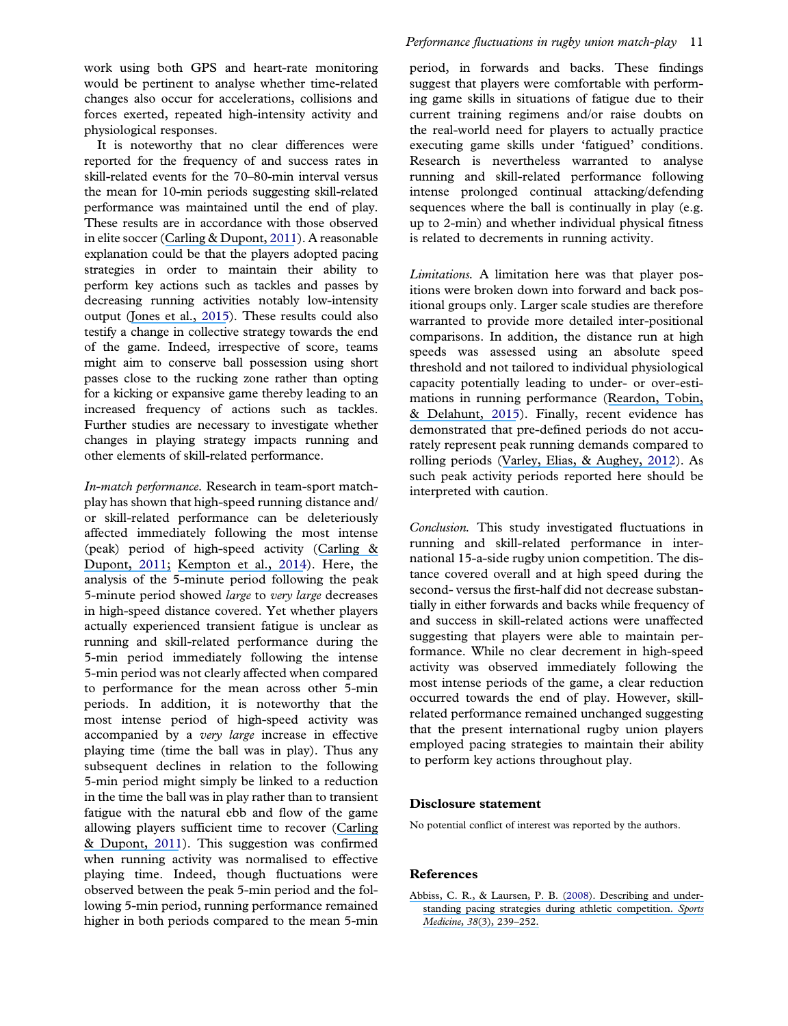<span id="page-12-0"></span>work using both GPS and heart-rate monitoring would be pertinent to analyse whether time-related changes also occur for accelerations, collisions and forces exerted, repeated high-intensity activity and physiological responses.

It is noteworthy that no clear differences were reported for the frequency of and success rates in skill-related events for the 70–80-min interval versus the mean for 10-min periods suggesting skill-related performance was maintained until the end of play. These results are in accordance with those observed in elite soccer ([Carling & Dupont,](https://www.researchgate.net/publication/47792393_Are_declines_in_physical_performance_associated_with_a_reduction_in_skill-related_performance_during_professional_soccer_match-play?el=1_x_8&enrichId=rgreq-271e86af47155fd7972757495ca610ea-XXX&enrichSource=Y292ZXJQYWdlOzMwNzUxMTU1NztBUzo0Mjg0MTU1NTI2MjY2ODlAMTQ3OTE1MzYzNTA5Mw==) [2011\)](#page-13-0). A reasonable explanation could be that the players adopted pacing strategies in order to maintain their ability to perform key actions such as tackles and passes by decreasing running activities notably low-intensity output ([Jones et al.,](https://www.researchgate.net/publication/272187303_Quantifying_positional_and_temporal_movement_patterns_in_professional_rugby_union_using_global_positioning_system?el=1_x_8&enrichId=rgreq-271e86af47155fd7972757495ca610ea-XXX&enrichSource=Y292ZXJQYWdlOzMwNzUxMTU1NztBUzo0Mjg0MTU1NTI2MjY2ODlAMTQ3OTE1MzYzNTA5Mw==) [2015](#page-13-0)). These results could also testify a change in collective strategy towards the end of the game. Indeed, irrespective of score, teams might aim to conserve ball possession using short passes close to the rucking zone rather than opting for a kicking or expansive game thereby leading to an increased frequency of actions such as tackles. Further studies are necessary to investigate whether changes in playing strategy impacts running and other elements of skill-related performance.

In-match performance. Research in team-sport matchplay has shown that high-speed running distance and/ or skill-related performance can be deleteriously affected immediately following the most intense (peak) period of high-speed activity ([Carling &](https://www.researchgate.net/publication/47792393_Are_declines_in_physical_performance_associated_with_a_reduction_in_skill-related_performance_during_professional_soccer_match-play?el=1_x_8&enrichId=rgreq-271e86af47155fd7972757495ca610ea-XXX&enrichSource=Y292ZXJQYWdlOzMwNzUxMTU1NztBUzo0Mjg0MTU1NTI2MjY2ODlAMTQ3OTE1MzYzNTA5Mw==) [Dupont,](https://www.researchgate.net/publication/47792393_Are_declines_in_physical_performance_associated_with_a_reduction_in_skill-related_performance_during_professional_soccer_match-play?el=1_x_8&enrichId=rgreq-271e86af47155fd7972757495ca610ea-XXX&enrichSource=Y292ZXJQYWdlOzMwNzUxMTU1NztBUzo0Mjg0MTU1NTI2MjY2ODlAMTQ3OTE1MzYzNTA5Mw==) [2011](#page-13-0); [Kempton et al.,](https://www.researchgate.net/publication/262608364_An_integrated_analysis_of_match-related_fatigue_in_professional_rugby_league?el=1_x_8&enrichId=rgreq-271e86af47155fd7972757495ca610ea-XXX&enrichSource=Y292ZXJQYWdlOzMwNzUxMTU1NztBUzo0Mjg0MTU1NTI2MjY2ODlAMTQ3OTE1MzYzNTA5Mw==) [2014](#page-13-0)). Here, the analysis of the 5-minute period following the peak 5-minute period showed large to very large decreases in high-speed distance covered. Yet whether players actually experienced transient fatigue is unclear as running and skill-related performance during the 5-min period immediately following the intense 5-min period was not clearly affected when compared to performance for the mean across other 5-min periods. In addition, it is noteworthy that the most intense period of high-speed activity was accompanied by a very large increase in effective playing time (time the ball was in play). Thus any subsequent declines in relation to the following 5-min period might simply be linked to a reduction in the time the ball was in play rather than to transient fatigue with the natural ebb and flow of the game allowing players sufficient time to recover ([Carling](https://www.researchgate.net/publication/47792393_Are_declines_in_physical_performance_associated_with_a_reduction_in_skill-related_performance_during_professional_soccer_match-play?el=1_x_8&enrichId=rgreq-271e86af47155fd7972757495ca610ea-XXX&enrichSource=Y292ZXJQYWdlOzMwNzUxMTU1NztBUzo0Mjg0MTU1NTI2MjY2ODlAMTQ3OTE1MzYzNTA5Mw==) [& Dupont,](https://www.researchgate.net/publication/47792393_Are_declines_in_physical_performance_associated_with_a_reduction_in_skill-related_performance_during_professional_soccer_match-play?el=1_x_8&enrichId=rgreq-271e86af47155fd7972757495ca610ea-XXX&enrichSource=Y292ZXJQYWdlOzMwNzUxMTU1NztBUzo0Mjg0MTU1NTI2MjY2ODlAMTQ3OTE1MzYzNTA5Mw==) [2011](#page-13-0)). This suggestion was confirmed when running activity was normalised to effective playing time. Indeed, though fluctuations were observed between the peak 5-min period and the following 5-min period, running performance remained higher in both periods compared to the mean 5-min period, in forwards and backs. These findings suggest that players were comfortable with performing game skills in situations of fatigue due to their current training regimens and/or raise doubts on the real-world need for players to actually practice executing game skills under 'fatigued' conditions. Research is nevertheless warranted to analyse running and skill-related performance following intense prolonged continual attacking/defending sequences where the ball is continually in play (e.g. up to 2-min) and whether individual physical fitness is related to decrements in running activity.

Limitations. A limitation here was that player positions were broken down into forward and back positional groups only. Larger scale studies are therefore warranted to provide more detailed inter-positional comparisons. In addition, the distance run at high speeds was assessed using an absolute speed threshold and not tailored to individual physiological capacity potentially leading to under- or over-estimations in running performance ([Reardon, Tobin,](https://www.researchgate.net/publication/307768729_Application_of_Individualized_Speed_Thresholds_to_Interpret_Position_Specific_Running_Demands_in_Elite_Professional_Rugby_Union_A_GPS_Study?el=1_x_8&enrichId=rgreq-271e86af47155fd7972757495ca610ea-XXX&enrichSource=Y292ZXJQYWdlOzMwNzUxMTU1NztBUzo0Mjg0MTU1NTI2MjY2ODlAMTQ3OTE1MzYzNTA5Mw==) [& Delahunt,](https://www.researchgate.net/publication/307768729_Application_of_Individualized_Speed_Thresholds_to_Interpret_Position_Specific_Running_Demands_in_Elite_Professional_Rugby_Union_A_GPS_Study?el=1_x_8&enrichId=rgreq-271e86af47155fd7972757495ca610ea-XXX&enrichSource=Y292ZXJQYWdlOzMwNzUxMTU1NztBUzo0Mjg0MTU1NTI2MjY2ODlAMTQ3OTE1MzYzNTA5Mw==) [2015\)](#page-13-0). Finally, recent evidence has demonstrated that pre-defined periods do not accurately represent peak running demands compared to rolling periods ([Varley, Elias, & Aughey,](https://www.researchgate.net/publication/225064359_Current_Match-Analysis_Techniques) [2012\)](#page-13-0). As such peak activity periods reported here should be interpreted with caution.

Conclusion. This study investigated fluctuations in running and skill-related performance in international 15-a-side rugby union competition. The distance covered overall and at high speed during the second- versus the first-half did not decrease substantially in either forwards and backs while frequency of and success in skill-related actions were unaffected suggesting that players were able to maintain performance. While no clear decrement in high-speed activity was observed immediately following the most intense periods of the game, a clear reduction occurred towards the end of play. However, skillrelated performance remained unchanged suggesting that the present international rugby union players employed pacing strategies to maintain their ability to perform key actions throughout play.

#### Disclosure statement

No potential conflict of interest was reported by the authors.

#### References

[Abbiss, C. R., & Laursen, P. B. \(](https://www.researchgate.net/publication/5573108_Describing_and_Understanding_Pacing_Strategies_during_Athletic_Competition?el=1_x_8&enrichId=rgreq-271e86af47155fd7972757495ca610ea-XXX&enrichSource=Y292ZXJQYWdlOzMwNzUxMTU1NztBUzo0Mjg0MTU1NTI2MjY2ODlAMTQ3OTE1MzYzNTA5Mw==)[2008](#page-9-0)[\). Describing and under](https://www.researchgate.net/publication/5573108_Describing_and_Understanding_Pacing_Strategies_during_Athletic_Competition?el=1_x_8&enrichId=rgreq-271e86af47155fd7972757495ca610ea-XXX&enrichSource=Y292ZXJQYWdlOzMwNzUxMTU1NztBUzo0Mjg0MTU1NTI2MjY2ODlAMTQ3OTE1MzYzNTA5Mw==)[standing pacing strategies during athletic competition.](https://www.researchgate.net/publication/5573108_Describing_and_Understanding_Pacing_Strategies_during_Athletic_Competition?el=1_x_8&enrichId=rgreq-271e86af47155fd7972757495ca610ea-XXX&enrichSource=Y292ZXJQYWdlOzMwNzUxMTU1NztBUzo0Mjg0MTU1NTI2MjY2ODlAMTQ3OTE1MzYzNTA5Mw==) Sports [Medicine](https://www.researchgate.net/publication/5573108_Describing_and_Understanding_Pacing_Strategies_during_Athletic_Competition?el=1_x_8&enrichId=rgreq-271e86af47155fd7972757495ca610ea-XXX&enrichSource=Y292ZXJQYWdlOzMwNzUxMTU1NztBUzo0Mjg0MTU1NTI2MjY2ODlAMTQ3OTE1MzYzNTA5Mw==), 38(3), 239–252.